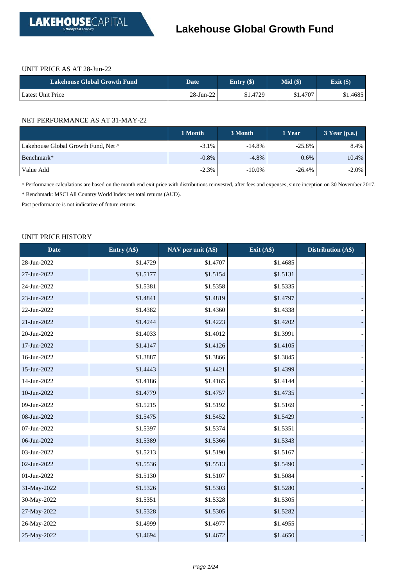

#### UNIT PRICE AS AT 28-Jun-22

| Lakehouse Global Growth Fund | <b>Date</b> ' | Entry $(\$)$ | $Mid($ \$ | Exit $(\$)$ |
|------------------------------|---------------|--------------|-----------|-------------|
| Latest Unit Price            | $28$ -Jun-22  | \$1.4729     | \$1.4707  | \$1.4685    |

#### NET PERFORMANCE AS AT 31-MAY-22

|                                     | 1 Month  | 3 Month   | 1 Year    | $3$ Year (p.a.) |
|-------------------------------------|----------|-----------|-----------|-----------------|
| Lakehouse Global Growth Fund, Net ^ | $-3.1\%$ | $-14.8\%$ | $-25.8\%$ | 8.4%            |
| Benchmark*                          | $-0.8%$  | $-4.8\%$  | $0.6\%$   | 10.4%           |
| Value Add                           | $-2.3%$  | $-10.0\%$ | $-26.4%$  | $-2.0\%$        |

^ Performance calculations are based on the month end exit price with distributions reinvested, after fees and expenses, since inception on 30 November 2017.

\* Benchmark: MSCI All Country World Index net total returns (AUD).

Past performance is not indicative of future returns.

#### UNIT PRICE HISTORY

| <b>Date</b> | Entry (A\$) | NAV per unit (A\$) | Exit $(A\$ ) | Distribution (A\$) |
|-------------|-------------|--------------------|--------------|--------------------|
| 28-Jun-2022 | \$1.4729    | \$1.4707           | \$1.4685     |                    |
| 27-Jun-2022 | \$1.5177    | \$1.5154           | \$1.5131     |                    |
| 24-Jun-2022 | \$1.5381    | \$1.5358           | \$1.5335     |                    |
| 23-Jun-2022 | \$1.4841    | \$1.4819           | \$1.4797     |                    |
| 22-Jun-2022 | \$1.4382    | \$1.4360           | \$1.4338     |                    |
| 21-Jun-2022 | \$1.4244    | \$1.4223           | \$1.4202     |                    |
| 20-Jun-2022 | \$1.4033    | \$1.4012           | \$1.3991     |                    |
| 17-Jun-2022 | \$1.4147    | \$1.4126           | \$1.4105     |                    |
| 16-Jun-2022 | \$1.3887    | \$1.3866           | \$1.3845     |                    |
| 15-Jun-2022 | \$1.4443    | \$1.4421           | \$1.4399     |                    |
| 14-Jun-2022 | \$1.4186    | \$1.4165           | \$1.4144     |                    |
| 10-Jun-2022 | \$1.4779    | \$1.4757           | \$1.4735     |                    |
| 09-Jun-2022 | \$1.5215    | \$1.5192           | \$1.5169     |                    |
| 08-Jun-2022 | \$1.5475    | \$1.5452           | \$1.5429     |                    |
| 07-Jun-2022 | \$1.5397    | \$1.5374           | \$1.5351     |                    |
| 06-Jun-2022 | \$1.5389    | \$1.5366           | \$1.5343     |                    |
| 03-Jun-2022 | \$1.5213    | \$1.5190           | \$1.5167     |                    |
| 02-Jun-2022 | \$1.5536    | \$1.5513           | \$1.5490     |                    |
| 01-Jun-2022 | \$1.5130    | \$1.5107           | \$1.5084     |                    |
| 31-May-2022 | \$1.5326    | \$1.5303           | \$1.5280     |                    |
| 30-May-2022 | \$1.5351    | \$1.5328           | \$1.5305     |                    |
| 27-May-2022 | \$1.5328    | \$1.5305           | \$1.5282     |                    |
| 26-May-2022 | \$1.4999    | \$1.4977           | \$1.4955     |                    |
| 25-May-2022 | \$1.4694    | \$1.4672           | \$1.4650     |                    |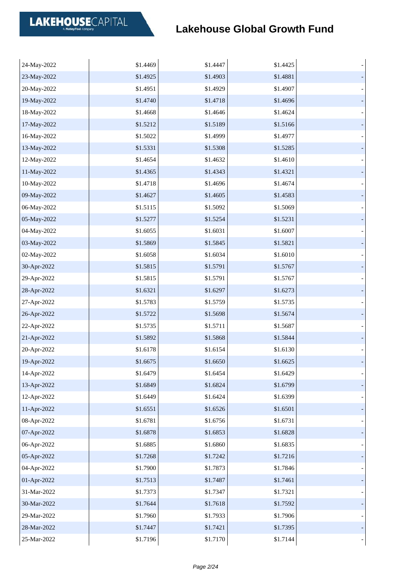| 24-May-2022 | \$1.4469 | \$1.4447 | \$1.4425 |  |
|-------------|----------|----------|----------|--|
| 23-May-2022 | \$1.4925 | \$1.4903 | \$1.4881 |  |
| 20-May-2022 | \$1.4951 | \$1.4929 | \$1.4907 |  |
| 19-May-2022 | \$1.4740 | \$1.4718 | \$1.4696 |  |
| 18-May-2022 | \$1.4668 | \$1.4646 | \$1.4624 |  |
| 17-May-2022 | \$1.5212 | \$1.5189 | \$1.5166 |  |
| 16-May-2022 | \$1.5022 | \$1.4999 | \$1.4977 |  |
| 13-May-2022 | \$1.5331 | \$1.5308 | \$1.5285 |  |
| 12-May-2022 | \$1.4654 | \$1.4632 | \$1.4610 |  |
| 11-May-2022 | \$1.4365 | \$1.4343 | \$1.4321 |  |
| 10-May-2022 | \$1.4718 | \$1.4696 | \$1.4674 |  |
| 09-May-2022 | \$1.4627 | \$1.4605 | \$1.4583 |  |
| 06-May-2022 | \$1.5115 | \$1.5092 | \$1.5069 |  |
| 05-May-2022 | \$1.5277 | \$1.5254 | \$1.5231 |  |
| 04-May-2022 | \$1.6055 | \$1.6031 | \$1.6007 |  |
| 03-May-2022 | \$1.5869 | \$1.5845 | \$1.5821 |  |
| 02-May-2022 | \$1.6058 | \$1.6034 | \$1.6010 |  |
| 30-Apr-2022 | \$1.5815 | \$1.5791 | \$1.5767 |  |
| 29-Apr-2022 | \$1.5815 | \$1.5791 | \$1.5767 |  |
| 28-Apr-2022 | \$1.6321 | \$1.6297 | \$1.6273 |  |
| 27-Apr-2022 | \$1.5783 | \$1.5759 | \$1.5735 |  |
| 26-Apr-2022 | \$1.5722 | \$1.5698 | \$1.5674 |  |
| 22-Apr-2022 | \$1.5735 | \$1.5711 | \$1.5687 |  |
| 21-Apr-2022 | \$1.5892 | \$1.5868 | \$1.5844 |  |
| 20-Apr-2022 | \$1.6178 | \$1.6154 | \$1.6130 |  |
| 19-Apr-2022 | \$1.6675 | \$1.6650 | \$1.6625 |  |
| 14-Apr-2022 | \$1.6479 | \$1.6454 | \$1.6429 |  |
| 13-Apr-2022 | \$1.6849 | \$1.6824 | \$1.6799 |  |
| 12-Apr-2022 | \$1.6449 | \$1.6424 | \$1.6399 |  |
| 11-Apr-2022 | \$1.6551 | \$1.6526 | \$1.6501 |  |
| 08-Apr-2022 | \$1.6781 | \$1.6756 | \$1.6731 |  |
| 07-Apr-2022 | \$1.6878 | \$1.6853 | \$1.6828 |  |
| 06-Apr-2022 | \$1.6885 | \$1.6860 | \$1.6835 |  |
| 05-Apr-2022 | \$1.7268 | \$1.7242 | \$1.7216 |  |
| 04-Apr-2022 | \$1.7900 | \$1.7873 | \$1.7846 |  |
| 01-Apr-2022 | \$1.7513 | \$1.7487 | \$1.7461 |  |
| 31-Mar-2022 | \$1.7373 | \$1.7347 | \$1.7321 |  |
| 30-Mar-2022 | \$1.7644 | \$1.7618 | \$1.7592 |  |
| 29-Mar-2022 | \$1.7960 | \$1.7933 | \$1.7906 |  |
| 28-Mar-2022 | \$1.7447 | \$1.7421 | \$1.7395 |  |
| 25-Mar-2022 | \$1.7196 | \$1.7170 | \$1.7144 |  |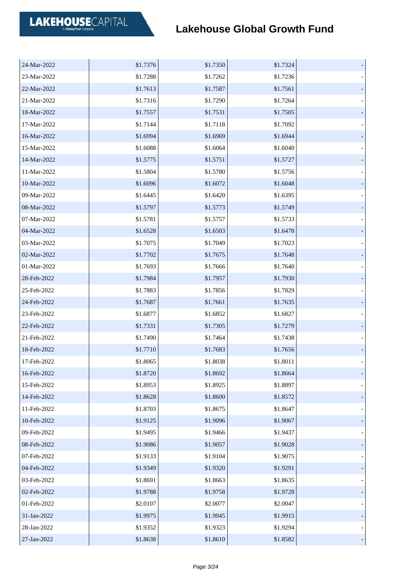| 24-Mar-2022 | \$1.7376 | \$1.7350 | \$1.7324 |  |
|-------------|----------|----------|----------|--|
| 23-Mar-2022 | \$1.7288 | \$1.7262 | \$1.7236 |  |
| 22-Mar-2022 | \$1.7613 | \$1.7587 | \$1.7561 |  |
| 21-Mar-2022 | \$1.7316 | \$1.7290 | \$1.7264 |  |
| 18-Mar-2022 | \$1.7557 | \$1.7531 | \$1.7505 |  |
| 17-Mar-2022 | \$1.7144 | \$1.7118 | \$1.7092 |  |
| 16-Mar-2022 | \$1.6994 | \$1.6969 | \$1.6944 |  |
| 15-Mar-2022 | \$1.6088 | \$1.6064 | \$1.6040 |  |
| 14-Mar-2022 | \$1.5775 | \$1.5751 | \$1.5727 |  |
| 11-Mar-2022 | \$1.5804 | \$1.5780 | \$1.5756 |  |
| 10-Mar-2022 | \$1.6096 | \$1.6072 | \$1.6048 |  |
| 09-Mar-2022 | \$1.6445 | \$1.6420 | \$1.6395 |  |
| 08-Mar-2022 | \$1.5797 | \$1.5773 | \$1.5749 |  |
| 07-Mar-2022 | \$1.5781 | \$1.5757 | \$1.5733 |  |
| 04-Mar-2022 | \$1.6528 | \$1.6503 | \$1.6478 |  |
| 03-Mar-2022 | \$1.7075 | \$1.7049 | \$1.7023 |  |
| 02-Mar-2022 | \$1.7702 | \$1.7675 | \$1.7648 |  |
| 01-Mar-2022 | \$1.7693 | \$1.7666 | \$1.7640 |  |
| 28-Feb-2022 | \$1.7984 | \$1.7957 | \$1.7930 |  |
| 25-Feb-2022 | \$1.7883 | \$1.7856 | \$1.7829 |  |
| 24-Feb-2022 | \$1.7687 | \$1.7661 | \$1.7635 |  |
| 23-Feb-2022 | \$1.6877 | \$1.6852 | \$1.6827 |  |
| 22-Feb-2022 | \$1.7331 | \$1.7305 | \$1.7279 |  |
| 21-Feb-2022 | \$1.7490 | \$1.7464 | \$1.7438 |  |
| 18-Feb-2022 | \$1.7710 | \$1.7683 | \$1.7656 |  |
| 17-Feb-2022 | \$1.8065 | \$1.8038 | \$1.8011 |  |
| 16-Feb-2022 | \$1.8720 | \$1.8692 | \$1.8664 |  |
| 15-Feb-2022 | \$1.8953 | \$1.8925 | \$1.8897 |  |
| 14-Feb-2022 | \$1.8628 | \$1.8600 | \$1.8572 |  |
| 11-Feb-2022 | \$1.8703 | \$1.8675 | \$1.8647 |  |
| 10-Feb-2022 | \$1.9125 | \$1.9096 | \$1.9067 |  |
| 09-Feb-2022 | \$1.9495 | \$1.9466 | \$1.9437 |  |
| 08-Feb-2022 | \$1.9086 | \$1.9057 | \$1.9028 |  |
| 07-Feb-2022 | \$1.9133 | \$1.9104 | \$1.9075 |  |
| 04-Feb-2022 | \$1.9349 | \$1.9320 | \$1.9291 |  |
| 03-Feb-2022 | \$1.8691 | \$1.8663 | \$1.8635 |  |
| 02-Feb-2022 | \$1.9788 | \$1.9758 | \$1.9728 |  |
| 01-Feb-2022 | \$2.0107 | \$2.0077 | \$2.0047 |  |
| 31-Jan-2022 | \$1.9975 | \$1.9945 | \$1.9915 |  |
| 28-Jan-2022 | \$1.9352 | \$1.9323 | \$1.9294 |  |
| 27-Jan-2022 | \$1.8638 | \$1.8610 | \$1.8582 |  |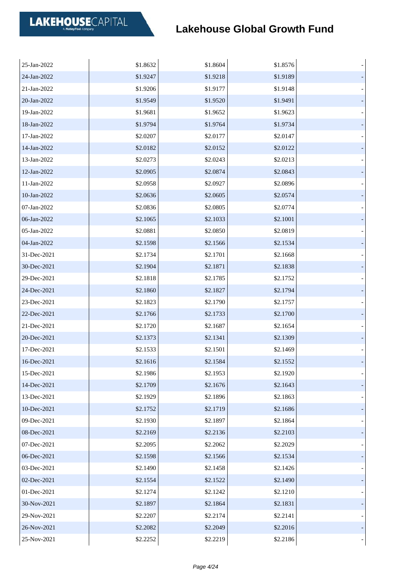| 25-Jan-2022 | \$1.8632 | \$1.8604 | \$1.8576 |  |
|-------------|----------|----------|----------|--|
| 24-Jan-2022 | \$1.9247 | \$1.9218 | \$1.9189 |  |
| 21-Jan-2022 | \$1.9206 | \$1.9177 | \$1.9148 |  |
| 20-Jan-2022 | \$1.9549 | \$1.9520 | \$1.9491 |  |
| 19-Jan-2022 | \$1.9681 | \$1.9652 | \$1.9623 |  |
| 18-Jan-2022 | \$1.9794 | \$1.9764 | \$1.9734 |  |
| 17-Jan-2022 | \$2.0207 | \$2.0177 | \$2.0147 |  |
| 14-Jan-2022 | \$2.0182 | \$2.0152 | \$2.0122 |  |
| 13-Jan-2022 | \$2.0273 | \$2.0243 | \$2.0213 |  |
| 12-Jan-2022 | \$2.0905 | \$2.0874 | \$2.0843 |  |
| 11-Jan-2022 | \$2.0958 | \$2.0927 | \$2.0896 |  |
| 10-Jan-2022 | \$2.0636 | \$2.0605 | \$2.0574 |  |
| 07-Jan-2022 | \$2.0836 | \$2.0805 | \$2.0774 |  |
| 06-Jan-2022 | \$2.1065 | \$2.1033 | \$2.1001 |  |
| 05-Jan-2022 | \$2.0881 | \$2.0850 | \$2.0819 |  |
| 04-Jan-2022 | \$2.1598 | \$2.1566 | \$2.1534 |  |
| 31-Dec-2021 | \$2.1734 | \$2.1701 | \$2.1668 |  |
| 30-Dec-2021 | \$2.1904 | \$2.1871 | \$2.1838 |  |
| 29-Dec-2021 | \$2.1818 | \$2.1785 | \$2.1752 |  |
| 24-Dec-2021 | \$2.1860 | \$2.1827 | \$2.1794 |  |
| 23-Dec-2021 | \$2.1823 | \$2.1790 | \$2.1757 |  |
| 22-Dec-2021 | \$2.1766 | \$2.1733 | \$2.1700 |  |
| 21-Dec-2021 | \$2.1720 | \$2.1687 | \$2.1654 |  |
| 20-Dec-2021 | \$2.1373 | \$2.1341 | \$2.1309 |  |
| 17-Dec-2021 | \$2.1533 | \$2.1501 | \$2.1469 |  |
| 16-Dec-2021 | \$2.1616 | \$2.1584 | \$2.1552 |  |
| 15-Dec-2021 | \$2.1986 | \$2.1953 | \$2.1920 |  |
| 14-Dec-2021 | \$2.1709 | \$2.1676 | \$2.1643 |  |
| 13-Dec-2021 | \$2.1929 | \$2.1896 | \$2.1863 |  |
| 10-Dec-2021 | \$2.1752 | \$2.1719 | \$2.1686 |  |
| 09-Dec-2021 | \$2.1930 | \$2.1897 | \$2.1864 |  |
| 08-Dec-2021 | \$2.2169 | \$2.2136 | \$2.2103 |  |
| 07-Dec-2021 | \$2.2095 | \$2.2062 | \$2.2029 |  |
| 06-Dec-2021 | \$2.1598 | \$2.1566 | \$2.1534 |  |
| 03-Dec-2021 | \$2.1490 | \$2.1458 | \$2.1426 |  |
| 02-Dec-2021 | \$2.1554 | \$2.1522 | \$2.1490 |  |
| 01-Dec-2021 | \$2.1274 | \$2.1242 | \$2.1210 |  |
| 30-Nov-2021 | \$2.1897 | \$2.1864 | \$2.1831 |  |
| 29-Nov-2021 | \$2.2207 | \$2.2174 | \$2.2141 |  |
| 26-Nov-2021 | \$2.2082 | \$2.2049 | \$2.2016 |  |
| 25-Nov-2021 | \$2.2252 | \$2.2219 | \$2.2186 |  |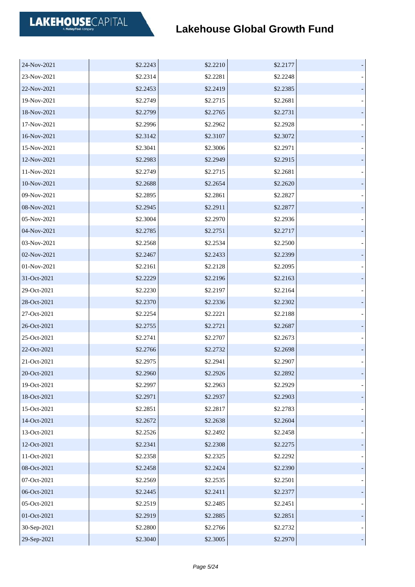| 24-Nov-2021 | \$2.2243 | \$2.2210 | \$2.2177 |  |
|-------------|----------|----------|----------|--|
| 23-Nov-2021 | \$2.2314 | \$2.2281 | \$2.2248 |  |
| 22-Nov-2021 | \$2.2453 | \$2.2419 | \$2.2385 |  |
| 19-Nov-2021 | \$2.2749 | \$2.2715 | \$2.2681 |  |
| 18-Nov-2021 | \$2.2799 | \$2.2765 | \$2.2731 |  |
| 17-Nov-2021 | \$2.2996 | \$2.2962 | \$2.2928 |  |
| 16-Nov-2021 | \$2.3142 | \$2.3107 | \$2.3072 |  |
| 15-Nov-2021 | \$2.3041 | \$2.3006 | \$2.2971 |  |
| 12-Nov-2021 | \$2.2983 | \$2.2949 | \$2.2915 |  |
| 11-Nov-2021 | \$2.2749 | \$2.2715 | \$2.2681 |  |
| 10-Nov-2021 | \$2.2688 | \$2.2654 | \$2.2620 |  |
| 09-Nov-2021 | \$2.2895 | \$2.2861 | \$2.2827 |  |
| 08-Nov-2021 | \$2.2945 | \$2.2911 | \$2.2877 |  |
| 05-Nov-2021 | \$2.3004 | \$2.2970 | \$2.2936 |  |
| 04-Nov-2021 | \$2.2785 | \$2.2751 | \$2.2717 |  |
| 03-Nov-2021 | \$2.2568 | \$2.2534 | \$2.2500 |  |
| 02-Nov-2021 | \$2.2467 | \$2.2433 | \$2.2399 |  |
| 01-Nov-2021 | \$2.2161 | \$2.2128 | \$2.2095 |  |
| 31-Oct-2021 | \$2.2229 | \$2.2196 | \$2.2163 |  |
| 29-Oct-2021 | \$2.2230 | \$2.2197 | \$2.2164 |  |
| 28-Oct-2021 | \$2.2370 | \$2.2336 | \$2.2302 |  |
| 27-Oct-2021 | \$2.2254 | \$2.2221 | \$2.2188 |  |
| 26-Oct-2021 | \$2.2755 | \$2.2721 | \$2.2687 |  |
| 25-Oct-2021 | \$2.2741 | \$2.2707 | \$2.2673 |  |
| 22-Oct-2021 | \$2.2766 | \$2.2732 | \$2.2698 |  |
| 21-Oct-2021 | \$2.2975 | \$2.2941 | \$2.2907 |  |
| 20-Oct-2021 | \$2.2960 | \$2.2926 | \$2.2892 |  |
| 19-Oct-2021 | \$2.2997 | \$2.2963 | \$2.2929 |  |
| 18-Oct-2021 | \$2.2971 | \$2.2937 | \$2.2903 |  |
| 15-Oct-2021 | \$2.2851 | \$2.2817 | \$2.2783 |  |
| 14-Oct-2021 | \$2.2672 | \$2.2638 | \$2.2604 |  |
| 13-Oct-2021 | \$2.2526 | \$2.2492 | \$2.2458 |  |
| 12-Oct-2021 | \$2.2341 | \$2.2308 | \$2.2275 |  |
| 11-Oct-2021 | \$2.2358 | \$2.2325 | \$2.2292 |  |
| 08-Oct-2021 | \$2.2458 | \$2.2424 | \$2.2390 |  |
| 07-Oct-2021 | \$2.2569 | \$2.2535 | \$2.2501 |  |
| 06-Oct-2021 | \$2.2445 | \$2.2411 | \$2.2377 |  |
| 05-Oct-2021 | \$2.2519 | \$2.2485 | \$2.2451 |  |
| 01-Oct-2021 | \$2.2919 | \$2.2885 | \$2.2851 |  |
| 30-Sep-2021 | \$2.2800 | \$2.2766 | \$2.2732 |  |
| 29-Sep-2021 | \$2.3040 | \$2.3005 | \$2.2970 |  |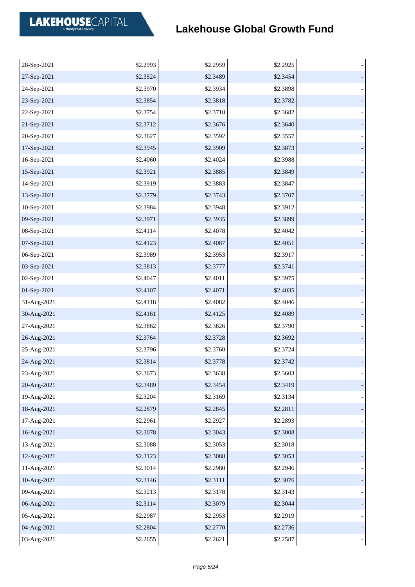| 28-Sep-2021 | \$2.2993 | \$2.2959 | \$2.2925 |  |
|-------------|----------|----------|----------|--|
| 27-Sep-2021 | \$2.3524 | \$2.3489 | \$2.3454 |  |
| 24-Sep-2021 | \$2.3970 | \$2.3934 | \$2.3898 |  |
| 23-Sep-2021 | \$2.3854 | \$2.3818 | \$2.3782 |  |
| 22-Sep-2021 | \$2.3754 | \$2.3718 | \$2.3682 |  |
| 21-Sep-2021 | \$2.3712 | \$2.3676 | \$2.3640 |  |
| 20-Sep-2021 | \$2.3627 | \$2.3592 | \$2.3557 |  |
| 17-Sep-2021 | \$2.3945 | \$2.3909 | \$2.3873 |  |
| 16-Sep-2021 | \$2.4060 | \$2.4024 | \$2.3988 |  |
| 15-Sep-2021 | \$2.3921 | \$2.3885 | \$2.3849 |  |
| 14-Sep-2021 | \$2.3919 | \$2.3883 | \$2.3847 |  |
| 13-Sep-2021 | \$2.3779 | \$2.3743 | \$2.3707 |  |
| 10-Sep-2021 | \$2.3984 | \$2.3948 | \$2.3912 |  |
| 09-Sep-2021 | \$2.3971 | \$2.3935 | \$2.3899 |  |
| 08-Sep-2021 | \$2.4114 | \$2.4078 | \$2.4042 |  |
| 07-Sep-2021 | \$2.4123 | \$2.4087 | \$2.4051 |  |
| 06-Sep-2021 | \$2.3989 | \$2.3953 | \$2.3917 |  |
| 03-Sep-2021 | \$2.3813 | \$2.3777 | \$2.3741 |  |
| 02-Sep-2021 | \$2.4047 | \$2.4011 | \$2.3975 |  |
| 01-Sep-2021 | \$2.4107 | \$2.4071 | \$2.4035 |  |
| 31-Aug-2021 | \$2.4118 | \$2.4082 | \$2.4046 |  |
| 30-Aug-2021 | \$2.4161 | \$2.4125 | \$2.4089 |  |
| 27-Aug-2021 | \$2.3862 | \$2.3826 | \$2.3790 |  |
| 26-Aug-2021 | \$2.3764 | \$2.3728 | \$2.3692 |  |
| 25-Aug-2021 | \$2.3796 | \$2.3760 | \$2.3724 |  |
| 24-Aug-2021 | \$2.3814 | \$2.3778 | \$2.3742 |  |
| 23-Aug-2021 | \$2.3673 | \$2.3638 | \$2.3603 |  |
| 20-Aug-2021 | \$2.3489 | \$2.3454 | \$2.3419 |  |
| 19-Aug-2021 | \$2.3204 | \$2.3169 | \$2.3134 |  |
| 18-Aug-2021 | \$2.2879 | \$2.2845 | \$2.2811 |  |
| 17-Aug-2021 | \$2.2961 | \$2.2927 | \$2.2893 |  |
| 16-Aug-2021 | \$2.3078 | \$2.3043 | \$2.3008 |  |
| 13-Aug-2021 | \$2.3088 | \$2.3053 | \$2.3018 |  |
| 12-Aug-2021 | \$2.3123 | \$2.3088 | \$2.3053 |  |
| 11-Aug-2021 | \$2.3014 | \$2.2980 | \$2.2946 |  |
| 10-Aug-2021 | \$2.3146 | \$2.3111 | \$2.3076 |  |
| 09-Aug-2021 | \$2.3213 | \$2.3178 | \$2.3143 |  |
| 06-Aug-2021 | \$2.3114 | \$2.3079 | \$2.3044 |  |
| 05-Aug-2021 | \$2.2987 | \$2.2953 | \$2.2919 |  |
| 04-Aug-2021 | \$2.2804 | \$2.2770 | \$2.2736 |  |
| 03-Aug-2021 | \$2.2655 | \$2.2621 | \$2.2587 |  |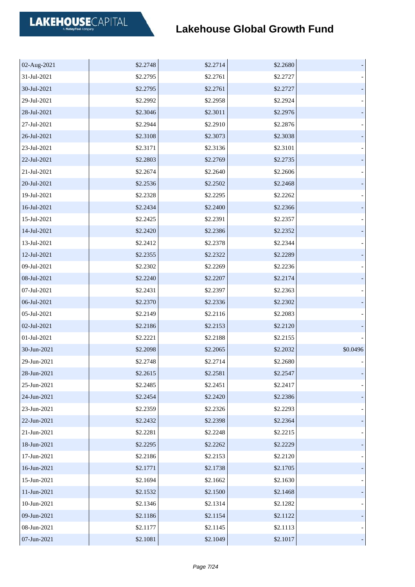| 02-Aug-2021 | \$2.2748 | \$2.2714 | \$2.2680 |          |
|-------------|----------|----------|----------|----------|
| 31-Jul-2021 | \$2.2795 | \$2.2761 | \$2.2727 |          |
| 30-Jul-2021 | \$2.2795 | \$2.2761 | \$2.2727 |          |
| 29-Jul-2021 | \$2.2992 | \$2.2958 | \$2.2924 |          |
| 28-Jul-2021 | \$2.3046 | \$2.3011 | \$2.2976 |          |
| 27-Jul-2021 | \$2.2944 | \$2.2910 | \$2.2876 |          |
| 26-Jul-2021 | \$2.3108 | \$2.3073 | \$2.3038 |          |
| 23-Jul-2021 | \$2.3171 | \$2.3136 | \$2.3101 |          |
| 22-Jul-2021 | \$2.2803 | \$2.2769 | \$2.2735 |          |
| 21-Jul-2021 | \$2.2674 | \$2.2640 | \$2.2606 |          |
| 20-Jul-2021 | \$2.2536 | \$2.2502 | \$2.2468 |          |
| 19-Jul-2021 | \$2.2328 | \$2.2295 | \$2.2262 |          |
| 16-Jul-2021 | \$2.2434 | \$2.2400 | \$2.2366 |          |
| 15-Jul-2021 | \$2.2425 | \$2.2391 | \$2.2357 |          |
| 14-Jul-2021 | \$2.2420 | \$2.2386 | \$2.2352 |          |
| 13-Jul-2021 | \$2.2412 | \$2.2378 | \$2.2344 |          |
| 12-Jul-2021 | \$2.2355 | \$2.2322 | \$2.2289 |          |
| 09-Jul-2021 | \$2.2302 | \$2.2269 | \$2.2236 |          |
| 08-Jul-2021 | \$2.2240 | \$2.2207 | \$2.2174 |          |
| 07-Jul-2021 | \$2.2431 | \$2.2397 | \$2.2363 |          |
| 06-Jul-2021 | \$2.2370 | \$2.2336 | \$2.2302 |          |
| 05-Jul-2021 | \$2.2149 | \$2.2116 | \$2.2083 |          |
| 02-Jul-2021 | \$2.2186 | \$2.2153 | \$2.2120 |          |
| 01-Jul-2021 | \$2.2221 | \$2.2188 | \$2.2155 |          |
| 30-Jun-2021 | \$2.2098 | \$2.2065 | \$2.2032 | \$0.0496 |
| 29-Jun-2021 | \$2.2748 | \$2.2714 | \$2.2680 |          |
| 28-Jun-2021 | \$2.2615 | \$2.2581 | \$2.2547 |          |
| 25-Jun-2021 | \$2.2485 | \$2.2451 | \$2.2417 |          |
| 24-Jun-2021 | \$2.2454 | \$2.2420 | \$2.2386 |          |
| 23-Jun-2021 | \$2.2359 | \$2.2326 | \$2.2293 |          |
| 22-Jun-2021 | \$2.2432 | \$2.2398 | \$2.2364 |          |
| 21-Jun-2021 | \$2.2281 | \$2.2248 | \$2.2215 |          |
| 18-Jun-2021 | \$2.2295 | \$2.2262 | \$2.2229 |          |
| 17-Jun-2021 | \$2.2186 | \$2.2153 | \$2.2120 |          |
| 16-Jun-2021 | \$2.1771 | \$2.1738 | \$2.1705 |          |
| 15-Jun-2021 | \$2.1694 | \$2.1662 | \$2.1630 |          |
| 11-Jun-2021 | \$2.1532 | \$2.1500 | \$2.1468 |          |
| 10-Jun-2021 | \$2.1346 | \$2.1314 | \$2.1282 |          |
| 09-Jun-2021 | \$2.1186 | \$2.1154 | \$2.1122 |          |
| 08-Jun-2021 | \$2.1177 | \$2.1145 | \$2.1113 |          |
| 07-Jun-2021 | \$2.1081 | \$2.1049 | \$2.1017 |          |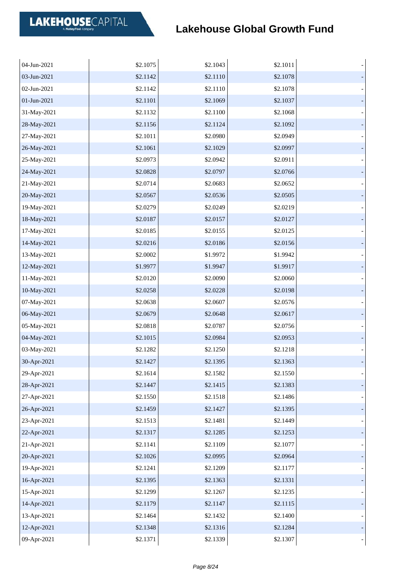| 04-Jun-2021 | \$2.1075 | \$2.1043 | \$2.1011 |  |
|-------------|----------|----------|----------|--|
| 03-Jun-2021 | \$2.1142 | \$2.1110 | \$2.1078 |  |
| 02-Jun-2021 | \$2.1142 | \$2.1110 | \$2.1078 |  |
| 01-Jun-2021 | \$2.1101 | \$2.1069 | \$2.1037 |  |
| 31-May-2021 | \$2.1132 | \$2.1100 | \$2.1068 |  |
| 28-May-2021 | \$2.1156 | \$2.1124 | \$2.1092 |  |
| 27-May-2021 | \$2.1011 | \$2.0980 | \$2.0949 |  |
| 26-May-2021 | \$2.1061 | \$2.1029 | \$2.0997 |  |
| 25-May-2021 | \$2.0973 | \$2.0942 | \$2.0911 |  |
| 24-May-2021 | \$2.0828 | \$2.0797 | \$2.0766 |  |
| 21-May-2021 | \$2.0714 | \$2.0683 | \$2.0652 |  |
| 20-May-2021 | \$2.0567 | \$2.0536 | \$2.0505 |  |
| 19-May-2021 | \$2.0279 | \$2.0249 | \$2.0219 |  |
| 18-May-2021 | \$2.0187 | \$2.0157 | \$2.0127 |  |
| 17-May-2021 | \$2.0185 | \$2.0155 | \$2.0125 |  |
| 14-May-2021 | \$2.0216 | \$2.0186 | \$2.0156 |  |
| 13-May-2021 | \$2.0002 | \$1.9972 | \$1.9942 |  |
| 12-May-2021 | \$1.9977 | \$1.9947 | \$1.9917 |  |
| 11-May-2021 | \$2.0120 | \$2.0090 | \$2.0060 |  |
| 10-May-2021 | \$2.0258 | \$2.0228 | \$2.0198 |  |
| 07-May-2021 | \$2.0638 | \$2.0607 | \$2.0576 |  |
| 06-May-2021 | \$2.0679 | \$2.0648 | \$2.0617 |  |
| 05-May-2021 | \$2.0818 | \$2.0787 | \$2.0756 |  |
| 04-May-2021 | \$2.1015 | \$2.0984 | \$2.0953 |  |
| 03-May-2021 | \$2.1282 | \$2.1250 | \$2.1218 |  |
| 30-Apr-2021 | \$2.1427 | \$2.1395 | \$2.1363 |  |
| 29-Apr-2021 | \$2.1614 | \$2.1582 | \$2.1550 |  |
| 28-Apr-2021 | \$2.1447 | \$2.1415 | \$2.1383 |  |
| 27-Apr-2021 | \$2.1550 | \$2.1518 | \$2.1486 |  |
| 26-Apr-2021 | \$2.1459 | \$2.1427 | \$2.1395 |  |
| 23-Apr-2021 | \$2.1513 | \$2.1481 | \$2.1449 |  |
| 22-Apr-2021 | \$2.1317 | \$2.1285 | \$2.1253 |  |
| 21-Apr-2021 | \$2.1141 | \$2.1109 | \$2.1077 |  |
| 20-Apr-2021 | \$2.1026 | \$2.0995 | \$2.0964 |  |
| 19-Apr-2021 | \$2.1241 | \$2.1209 | \$2.1177 |  |
| 16-Apr-2021 | \$2.1395 | \$2.1363 | \$2.1331 |  |
| 15-Apr-2021 | \$2.1299 | \$2.1267 | \$2.1235 |  |
| 14-Apr-2021 | \$2.1179 | \$2.1147 | \$2.1115 |  |
| 13-Apr-2021 | \$2.1464 | \$2.1432 | \$2.1400 |  |
| 12-Apr-2021 | \$2.1348 | \$2.1316 | \$2.1284 |  |
| 09-Apr-2021 | \$2.1371 | \$2.1339 | \$2.1307 |  |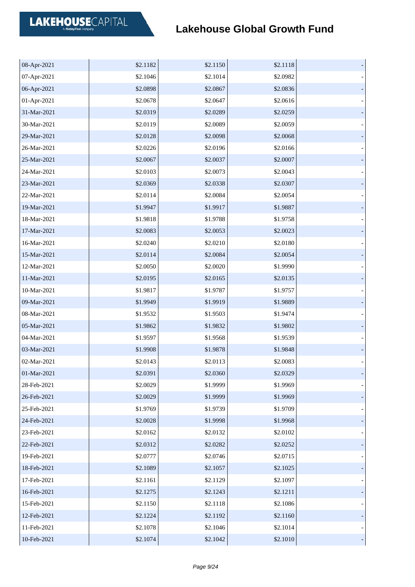| 08-Apr-2021 | \$2.1182 | \$2.1150 | \$2.1118 |  |
|-------------|----------|----------|----------|--|
| 07-Apr-2021 | \$2.1046 | \$2.1014 | \$2.0982 |  |
| 06-Apr-2021 | \$2.0898 | \$2.0867 | \$2.0836 |  |
| 01-Apr-2021 | \$2.0678 | \$2.0647 | \$2.0616 |  |
| 31-Mar-2021 | \$2.0319 | \$2.0289 | \$2.0259 |  |
| 30-Mar-2021 | \$2.0119 | \$2.0089 | \$2.0059 |  |
| 29-Mar-2021 | \$2.0128 | \$2.0098 | \$2.0068 |  |
| 26-Mar-2021 | \$2.0226 | \$2.0196 | \$2.0166 |  |
| 25-Mar-2021 | \$2.0067 | \$2.0037 | \$2.0007 |  |
| 24-Mar-2021 | \$2.0103 | \$2.0073 | \$2.0043 |  |
| 23-Mar-2021 | \$2.0369 | \$2.0338 | \$2.0307 |  |
| 22-Mar-2021 | \$2.0114 | \$2.0084 | \$2.0054 |  |
| 19-Mar-2021 | \$1.9947 | \$1.9917 | \$1.9887 |  |
| 18-Mar-2021 | \$1.9818 | \$1.9788 | \$1.9758 |  |
| 17-Mar-2021 | \$2.0083 | \$2.0053 | \$2.0023 |  |
| 16-Mar-2021 | \$2.0240 | \$2.0210 | \$2.0180 |  |
| 15-Mar-2021 | \$2.0114 | \$2.0084 | \$2.0054 |  |
| 12-Mar-2021 | \$2.0050 | \$2.0020 | \$1.9990 |  |
| 11-Mar-2021 | \$2.0195 | \$2.0165 | \$2.0135 |  |
| 10-Mar-2021 | \$1.9817 | \$1.9787 | \$1.9757 |  |
| 09-Mar-2021 | \$1.9949 | \$1.9919 | \$1.9889 |  |
| 08-Mar-2021 | \$1.9532 | \$1.9503 | \$1.9474 |  |
| 05-Mar-2021 | \$1.9862 | \$1.9832 | \$1.9802 |  |
| 04-Mar-2021 | \$1.9597 | \$1.9568 | \$1.9539 |  |
| 03-Mar-2021 | \$1.9908 | \$1.9878 | \$1.9848 |  |
| 02-Mar-2021 | \$2.0143 | \$2.0113 | \$2.0083 |  |
| 01-Mar-2021 | \$2.0391 | \$2.0360 | \$2.0329 |  |
| 28-Feb-2021 | \$2.0029 | \$1.9999 | \$1.9969 |  |
| 26-Feb-2021 | \$2.0029 | \$1.9999 | \$1.9969 |  |
| 25-Feb-2021 | \$1.9769 | \$1.9739 | \$1.9709 |  |
| 24-Feb-2021 | \$2.0028 | \$1.9998 | \$1.9968 |  |
| 23-Feb-2021 | \$2.0162 | \$2.0132 | \$2.0102 |  |
| 22-Feb-2021 | \$2.0312 | \$2.0282 | \$2.0252 |  |
| 19-Feb-2021 | \$2.0777 | \$2.0746 | \$2.0715 |  |
| 18-Feb-2021 | \$2.1089 | \$2.1057 | \$2.1025 |  |
| 17-Feb-2021 | \$2.1161 | \$2.1129 | \$2.1097 |  |
| 16-Feb-2021 | \$2.1275 | \$2.1243 | \$2.1211 |  |
| 15-Feb-2021 | \$2.1150 | \$2.1118 | \$2.1086 |  |
| 12-Feb-2021 | \$2.1224 | \$2.1192 | \$2.1160 |  |
| 11-Feb-2021 | \$2.1078 | \$2.1046 | \$2.1014 |  |
| 10-Feb-2021 | \$2.1074 | \$2.1042 | \$2.1010 |  |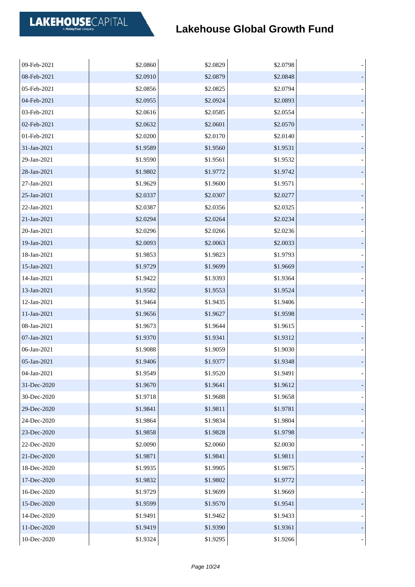| 09-Feb-2021 | \$2.0860 | \$2.0829 | \$2.0798 |  |
|-------------|----------|----------|----------|--|
| 08-Feb-2021 | \$2.0910 | \$2.0879 | \$2.0848 |  |
| 05-Feb-2021 | \$2.0856 | \$2.0825 | \$2.0794 |  |
| 04-Feb-2021 | \$2.0955 | \$2.0924 | \$2.0893 |  |
| 03-Feb-2021 | \$2.0616 | \$2.0585 | \$2.0554 |  |
| 02-Feb-2021 | \$2.0632 | \$2.0601 | \$2.0570 |  |
| 01-Feb-2021 | \$2.0200 | \$2.0170 | \$2.0140 |  |
| 31-Jan-2021 | \$1.9589 | \$1.9560 | \$1.9531 |  |
| 29-Jan-2021 | \$1.9590 | \$1.9561 | \$1.9532 |  |
| 28-Jan-2021 | \$1.9802 | \$1.9772 | \$1.9742 |  |
| 27-Jan-2021 | \$1.9629 | \$1.9600 | \$1.9571 |  |
| 25-Jan-2021 | \$2.0337 | \$2.0307 | \$2.0277 |  |
| 22-Jan-2021 | \$2.0387 | \$2.0356 | \$2.0325 |  |
| 21-Jan-2021 | \$2.0294 | \$2.0264 | \$2.0234 |  |
| 20-Jan-2021 | \$2.0296 | \$2.0266 | \$2.0236 |  |
| 19-Jan-2021 | \$2.0093 | \$2.0063 | \$2.0033 |  |
| 18-Jan-2021 | \$1.9853 | \$1.9823 | \$1.9793 |  |
| 15-Jan-2021 | \$1.9729 | \$1.9699 | \$1.9669 |  |
| 14-Jan-2021 | \$1.9422 | \$1.9393 | \$1.9364 |  |
| 13-Jan-2021 | \$1.9582 | \$1.9553 | \$1.9524 |  |
| 12-Jan-2021 | \$1.9464 | \$1.9435 | \$1.9406 |  |
| 11-Jan-2021 | \$1.9656 | \$1.9627 | \$1.9598 |  |
| 08-Jan-2021 | \$1.9673 | \$1.9644 | \$1.9615 |  |
| 07-Jan-2021 | \$1.9370 | \$1.9341 | \$1.9312 |  |
| 06-Jan-2021 | \$1.9088 | \$1.9059 | \$1.9030 |  |
| 05-Jan-2021 | \$1.9406 | \$1.9377 | \$1.9348 |  |
| 04-Jan-2021 | \$1.9549 | \$1.9520 | \$1.9491 |  |
| 31-Dec-2020 | \$1.9670 | \$1.9641 | \$1.9612 |  |
| 30-Dec-2020 | \$1.9718 | \$1.9688 | \$1.9658 |  |
| 29-Dec-2020 | \$1.9841 | \$1.9811 | \$1.9781 |  |
| 24-Dec-2020 | \$1.9864 | \$1.9834 | \$1.9804 |  |
| 23-Dec-2020 | \$1.9858 | \$1.9828 | \$1.9798 |  |
| 22-Dec-2020 | \$2.0090 | \$2.0060 | \$2.0030 |  |
| 21-Dec-2020 | \$1.9871 | \$1.9841 | \$1.9811 |  |
| 18-Dec-2020 | \$1.9935 | \$1.9905 | \$1.9875 |  |
| 17-Dec-2020 | \$1.9832 | \$1.9802 | \$1.9772 |  |
| 16-Dec-2020 | \$1.9729 | \$1.9699 | \$1.9669 |  |
| 15-Dec-2020 | \$1.9599 | \$1.9570 | \$1.9541 |  |
| 14-Dec-2020 | \$1.9491 | \$1.9462 | \$1.9433 |  |
| 11-Dec-2020 | \$1.9419 | \$1.9390 | \$1.9361 |  |
| 10-Dec-2020 | \$1.9324 | \$1.9295 | \$1.9266 |  |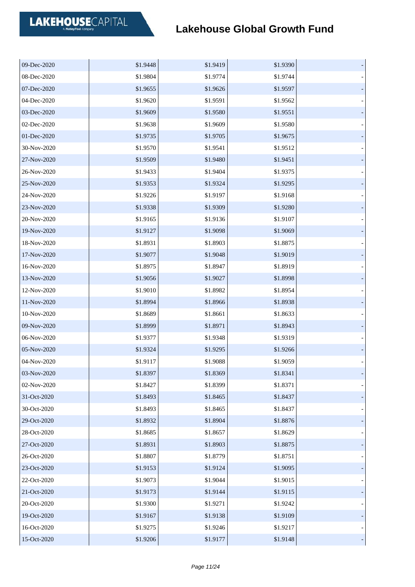| 09-Dec-2020 | \$1.9448 | \$1.9419 | \$1.9390 |  |
|-------------|----------|----------|----------|--|
| 08-Dec-2020 | \$1.9804 | \$1.9774 | \$1.9744 |  |
| 07-Dec-2020 | \$1.9655 | \$1.9626 | \$1.9597 |  |
| 04-Dec-2020 | \$1.9620 | \$1.9591 | \$1.9562 |  |
| 03-Dec-2020 | \$1.9609 | \$1.9580 | \$1.9551 |  |
| 02-Dec-2020 | \$1.9638 | \$1.9609 | \$1.9580 |  |
| 01-Dec-2020 | \$1.9735 | \$1.9705 | \$1.9675 |  |
| 30-Nov-2020 | \$1.9570 | \$1.9541 | \$1.9512 |  |
| 27-Nov-2020 | \$1.9509 | \$1.9480 | \$1.9451 |  |
| 26-Nov-2020 | \$1.9433 | \$1.9404 | \$1.9375 |  |
| 25-Nov-2020 | \$1.9353 | \$1.9324 | \$1.9295 |  |
| 24-Nov-2020 | \$1.9226 | \$1.9197 | \$1.9168 |  |
| 23-Nov-2020 | \$1.9338 | \$1.9309 | \$1.9280 |  |
| 20-Nov-2020 | \$1.9165 | \$1.9136 | \$1.9107 |  |
| 19-Nov-2020 | \$1.9127 | \$1.9098 | \$1.9069 |  |
| 18-Nov-2020 | \$1.8931 | \$1.8903 | \$1.8875 |  |
| 17-Nov-2020 | \$1.9077 | \$1.9048 | \$1.9019 |  |
| 16-Nov-2020 | \$1.8975 | \$1.8947 | \$1.8919 |  |
| 13-Nov-2020 | \$1.9056 | \$1.9027 | \$1.8998 |  |
| 12-Nov-2020 | \$1.9010 | \$1.8982 | \$1.8954 |  |
| 11-Nov-2020 | \$1.8994 | \$1.8966 | \$1.8938 |  |
| 10-Nov-2020 | \$1.8689 | \$1.8661 | \$1.8633 |  |
| 09-Nov-2020 | \$1.8999 | \$1.8971 | \$1.8943 |  |
| 06-Nov-2020 | \$1.9377 | \$1.9348 | \$1.9319 |  |
| 05-Nov-2020 | \$1.9324 | \$1.9295 | \$1.9266 |  |
| 04-Nov-2020 | \$1.9117 | \$1.9088 | \$1.9059 |  |
| 03-Nov-2020 | \$1.8397 | \$1.8369 | \$1.8341 |  |
| 02-Nov-2020 | \$1.8427 | \$1.8399 | \$1.8371 |  |
| 31-Oct-2020 | \$1.8493 | \$1.8465 | \$1.8437 |  |
| 30-Oct-2020 | \$1.8493 | \$1.8465 | \$1.8437 |  |
| 29-Oct-2020 | \$1.8932 | \$1.8904 | \$1.8876 |  |
| 28-Oct-2020 | \$1.8685 | \$1.8657 | \$1.8629 |  |
| 27-Oct-2020 | \$1.8931 | \$1.8903 | \$1.8875 |  |
| 26-Oct-2020 | \$1.8807 | \$1.8779 | \$1.8751 |  |
| 23-Oct-2020 | \$1.9153 | \$1.9124 | \$1.9095 |  |
| 22-Oct-2020 | \$1.9073 | \$1.9044 | \$1.9015 |  |
| 21-Oct-2020 | \$1.9173 | \$1.9144 | \$1.9115 |  |
| 20-Oct-2020 | \$1.9300 | \$1.9271 | \$1.9242 |  |
| 19-Oct-2020 | \$1.9167 | \$1.9138 | \$1.9109 |  |
| 16-Oct-2020 | \$1.9275 | \$1.9246 | \$1.9217 |  |
| 15-Oct-2020 | \$1.9206 | \$1.9177 | \$1.9148 |  |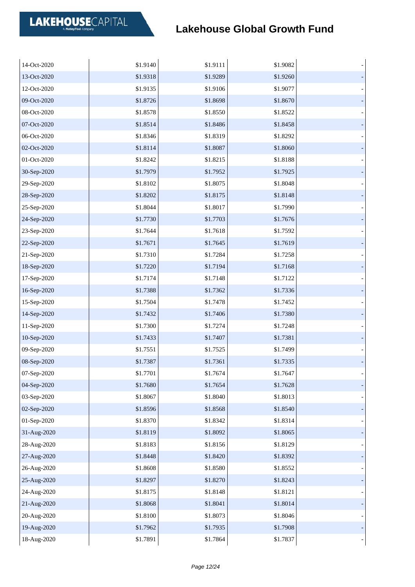| 14-Oct-2020 | \$1.9140 | \$1.9111 | \$1.9082 |  |
|-------------|----------|----------|----------|--|
| 13-Oct-2020 | \$1.9318 | \$1.9289 | \$1.9260 |  |
| 12-Oct-2020 | \$1.9135 | \$1.9106 | \$1.9077 |  |
| 09-Oct-2020 | \$1.8726 | \$1.8698 | \$1.8670 |  |
| 08-Oct-2020 | \$1.8578 | \$1.8550 | \$1.8522 |  |
| 07-Oct-2020 | \$1.8514 | \$1.8486 | \$1.8458 |  |
| 06-Oct-2020 | \$1.8346 | \$1.8319 | \$1.8292 |  |
| 02-Oct-2020 | \$1.8114 | \$1.8087 | \$1.8060 |  |
| 01-Oct-2020 | \$1.8242 | \$1.8215 | \$1.8188 |  |
| 30-Sep-2020 | \$1.7979 | \$1.7952 | \$1.7925 |  |
| 29-Sep-2020 | \$1.8102 | \$1.8075 | \$1.8048 |  |
| 28-Sep-2020 | \$1.8202 | \$1.8175 | \$1.8148 |  |
| 25-Sep-2020 | \$1.8044 | \$1.8017 | \$1.7990 |  |
| 24-Sep-2020 | \$1.7730 | \$1.7703 | \$1.7676 |  |
| 23-Sep-2020 | \$1.7644 | \$1.7618 | \$1.7592 |  |
| 22-Sep-2020 | \$1.7671 | \$1.7645 | \$1.7619 |  |
| 21-Sep-2020 | \$1.7310 | \$1.7284 | \$1.7258 |  |
| 18-Sep-2020 | \$1.7220 | \$1.7194 | \$1.7168 |  |
| 17-Sep-2020 | \$1.7174 | \$1.7148 | \$1.7122 |  |
| 16-Sep-2020 | \$1.7388 | \$1.7362 | \$1.7336 |  |
| 15-Sep-2020 | \$1.7504 | \$1.7478 | \$1.7452 |  |
| 14-Sep-2020 | \$1.7432 | \$1.7406 | \$1.7380 |  |
| 11-Sep-2020 | \$1.7300 | \$1.7274 | \$1.7248 |  |
| 10-Sep-2020 | \$1.7433 | \$1.7407 | \$1.7381 |  |
| 09-Sep-2020 | \$1.7551 | \$1.7525 | \$1.7499 |  |
| 08-Sep-2020 | \$1.7387 | \$1.7361 | \$1.7335 |  |
| 07-Sep-2020 | \$1.7701 | \$1.7674 | \$1.7647 |  |
| 04-Sep-2020 | \$1.7680 | \$1.7654 | \$1.7628 |  |
| 03-Sep-2020 | \$1.8067 | \$1.8040 | \$1.8013 |  |
| 02-Sep-2020 | \$1.8596 | \$1.8568 | \$1.8540 |  |
| 01-Sep-2020 | \$1.8370 | \$1.8342 | \$1.8314 |  |
| 31-Aug-2020 | \$1.8119 | \$1.8092 | \$1.8065 |  |
| 28-Aug-2020 | \$1.8183 | \$1.8156 | \$1.8129 |  |
| 27-Aug-2020 | \$1.8448 | \$1.8420 | \$1.8392 |  |
| 26-Aug-2020 | \$1.8608 | \$1.8580 | \$1.8552 |  |
| 25-Aug-2020 | \$1.8297 | \$1.8270 | \$1.8243 |  |
| 24-Aug-2020 | \$1.8175 | \$1.8148 | \$1.8121 |  |
| 21-Aug-2020 | \$1.8068 | \$1.8041 | \$1.8014 |  |
| 20-Aug-2020 | \$1.8100 | \$1.8073 | \$1.8046 |  |
| 19-Aug-2020 | \$1.7962 | \$1.7935 | \$1.7908 |  |
| 18-Aug-2020 | \$1.7891 | \$1.7864 | \$1.7837 |  |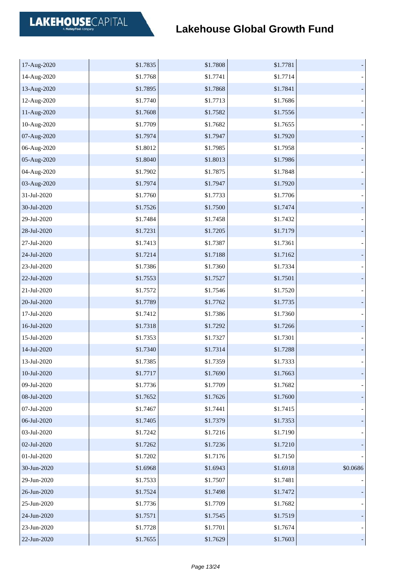| 17-Aug-2020 | \$1.7835 | \$1.7808 | \$1.7781 |          |
|-------------|----------|----------|----------|----------|
| 14-Aug-2020 | \$1.7768 | \$1.7741 | \$1.7714 |          |
| 13-Aug-2020 | \$1.7895 | \$1.7868 | \$1.7841 |          |
| 12-Aug-2020 | \$1.7740 | \$1.7713 | \$1.7686 |          |
| 11-Aug-2020 | \$1.7608 | \$1.7582 | \$1.7556 |          |
| 10-Aug-2020 | \$1.7709 | \$1.7682 | \$1.7655 |          |
| 07-Aug-2020 | \$1.7974 | \$1.7947 | \$1.7920 |          |
| 06-Aug-2020 | \$1.8012 | \$1.7985 | \$1.7958 |          |
| 05-Aug-2020 | \$1.8040 | \$1.8013 | \$1.7986 |          |
| 04-Aug-2020 | \$1.7902 | \$1.7875 | \$1.7848 |          |
| 03-Aug-2020 | \$1.7974 | \$1.7947 | \$1.7920 |          |
| 31-Jul-2020 | \$1.7760 | \$1.7733 | \$1.7706 |          |
| 30-Jul-2020 | \$1.7526 | \$1.7500 | \$1.7474 |          |
| 29-Jul-2020 | \$1.7484 | \$1.7458 | \$1.7432 |          |
| 28-Jul-2020 | \$1.7231 | \$1.7205 | \$1.7179 |          |
| 27-Jul-2020 | \$1.7413 | \$1.7387 | \$1.7361 |          |
| 24-Jul-2020 | \$1.7214 | \$1.7188 | \$1.7162 |          |
| 23-Jul-2020 | \$1.7386 | \$1.7360 | \$1.7334 |          |
| 22-Jul-2020 | \$1.7553 | \$1.7527 | \$1.7501 |          |
| 21-Jul-2020 | \$1.7572 | \$1.7546 | \$1.7520 |          |
| 20-Jul-2020 | \$1.7789 | \$1.7762 | \$1.7735 |          |
| 17-Jul-2020 | \$1.7412 | \$1.7386 | \$1.7360 |          |
| 16-Jul-2020 | \$1.7318 | \$1.7292 | \$1.7266 |          |
| 15-Jul-2020 | \$1.7353 | \$1.7327 | \$1.7301 |          |
| 14-Jul-2020 | \$1.7340 | \$1.7314 | \$1.7288 |          |
| 13-Jul-2020 | \$1.7385 | \$1.7359 | \$1.7333 |          |
| 10-Jul-2020 | \$1.7717 | \$1.7690 | \$1.7663 |          |
| 09-Jul-2020 | \$1.7736 | \$1.7709 | \$1.7682 |          |
| 08-Jul-2020 | \$1.7652 | \$1.7626 | \$1.7600 |          |
| 07-Jul-2020 | \$1.7467 | \$1.7441 | \$1.7415 |          |
| 06-Jul-2020 | \$1.7405 | \$1.7379 | \$1.7353 |          |
| 03-Jul-2020 | \$1.7242 | \$1.7216 | \$1.7190 |          |
| 02-Jul-2020 | \$1.7262 | \$1.7236 | \$1.7210 |          |
| 01-Jul-2020 | \$1.7202 | \$1.7176 | \$1.7150 |          |
| 30-Jun-2020 | \$1.6968 | \$1.6943 | \$1.6918 | \$0.0686 |
| 29-Jun-2020 | \$1.7533 | \$1.7507 | \$1.7481 |          |
| 26-Jun-2020 | \$1.7524 | \$1.7498 | \$1.7472 |          |
| 25-Jun-2020 | \$1.7736 | \$1.7709 | \$1.7682 |          |
| 24-Jun-2020 | \$1.7571 | \$1.7545 | \$1.7519 |          |
| 23-Jun-2020 | \$1.7728 | \$1.7701 | \$1.7674 |          |
| 22-Jun-2020 | \$1.7655 | \$1.7629 | \$1.7603 |          |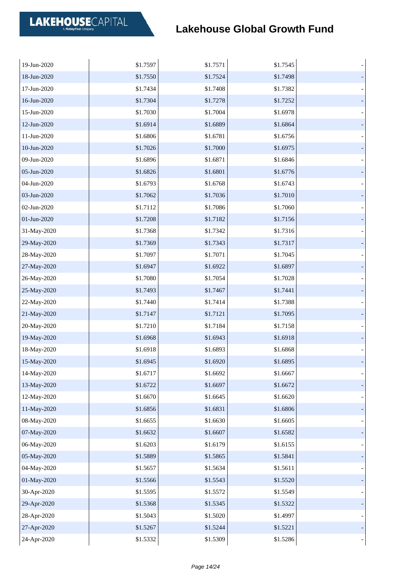| 19-Jun-2020 | \$1.7597 | \$1.7571 | \$1.7545 |  |
|-------------|----------|----------|----------|--|
| 18-Jun-2020 | \$1.7550 | \$1.7524 | \$1.7498 |  |
| 17-Jun-2020 | \$1.7434 | \$1.7408 | \$1.7382 |  |
| 16-Jun-2020 | \$1.7304 | \$1.7278 | \$1.7252 |  |
| 15-Jun-2020 | \$1.7030 | \$1.7004 | \$1.6978 |  |
| 12-Jun-2020 | \$1.6914 | \$1.6889 | \$1.6864 |  |
| 11-Jun-2020 | \$1.6806 | \$1.6781 | \$1.6756 |  |
| 10-Jun-2020 | \$1.7026 | \$1.7000 | \$1.6975 |  |
| 09-Jun-2020 | \$1.6896 | \$1.6871 | \$1.6846 |  |
| 05-Jun-2020 | \$1.6826 | \$1.6801 | \$1.6776 |  |
| 04-Jun-2020 | \$1.6793 | \$1.6768 | \$1.6743 |  |
| 03-Jun-2020 | \$1.7062 | \$1.7036 | \$1.7010 |  |
| 02-Jun-2020 | \$1.7112 | \$1.7086 | \$1.7060 |  |
| 01-Jun-2020 | \$1.7208 | \$1.7182 | \$1.7156 |  |
| 31-May-2020 | \$1.7368 | \$1.7342 | \$1.7316 |  |
| 29-May-2020 | \$1.7369 | \$1.7343 | \$1.7317 |  |
| 28-May-2020 | \$1.7097 | \$1.7071 | \$1.7045 |  |
| 27-May-2020 | \$1.6947 | \$1.6922 | \$1.6897 |  |
| 26-May-2020 | \$1.7080 | \$1.7054 | \$1.7028 |  |
| 25-May-2020 | \$1.7493 | \$1.7467 | \$1.7441 |  |
| 22-May-2020 | \$1.7440 | \$1.7414 | \$1.7388 |  |
| 21-May-2020 | \$1.7147 | \$1.7121 | \$1.7095 |  |
| 20-May-2020 | \$1.7210 | \$1.7184 | \$1.7158 |  |
| 19-May-2020 | \$1.6968 | \$1.6943 | \$1.6918 |  |
| 18-May-2020 | \$1.6918 | \$1.6893 | \$1.6868 |  |
| 15-May-2020 | \$1.6945 | \$1.6920 | \$1.6895 |  |
| 14-May-2020 | \$1.6717 | \$1.6692 | \$1.6667 |  |
| 13-May-2020 | \$1.6722 | \$1.6697 | \$1.6672 |  |
| 12-May-2020 | \$1.6670 | \$1.6645 | \$1.6620 |  |
| 11-May-2020 | \$1.6856 | \$1.6831 | \$1.6806 |  |
| 08-May-2020 | \$1.6655 | \$1.6630 | \$1.6605 |  |
| 07-May-2020 | \$1.6632 | \$1.6607 | \$1.6582 |  |
| 06-May-2020 | \$1.6203 | \$1.6179 | \$1.6155 |  |
| 05-May-2020 | \$1.5889 | \$1.5865 | \$1.5841 |  |
| 04-May-2020 | \$1.5657 | \$1.5634 | \$1.5611 |  |
| 01-May-2020 | \$1.5566 | \$1.5543 | \$1.5520 |  |
| 30-Apr-2020 | \$1.5595 | \$1.5572 | \$1.5549 |  |
| 29-Apr-2020 | \$1.5368 | \$1.5345 | \$1.5322 |  |
| 28-Apr-2020 | \$1.5043 | \$1.5020 | \$1.4997 |  |
| 27-Apr-2020 | \$1.5267 | \$1.5244 | \$1.5221 |  |
| 24-Apr-2020 | \$1.5332 | \$1.5309 | \$1.5286 |  |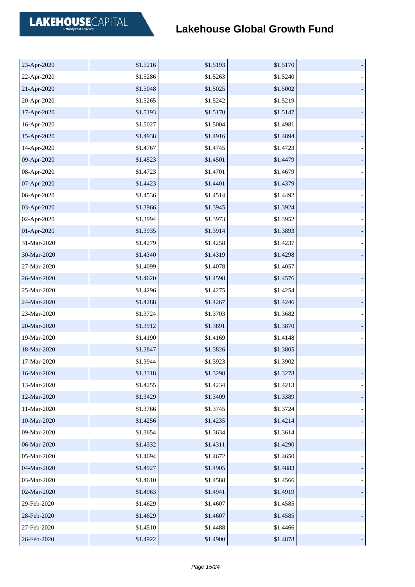| 23-Apr-2020 | \$1.5216 | \$1.5193 | \$1.5170 |  |
|-------------|----------|----------|----------|--|
| 22-Apr-2020 | \$1.5286 | \$1.5263 | \$1.5240 |  |
| 21-Apr-2020 | \$1.5048 | \$1.5025 | \$1.5002 |  |
| 20-Apr-2020 | \$1.5265 | \$1.5242 | \$1.5219 |  |
| 17-Apr-2020 | \$1.5193 | \$1.5170 | \$1.5147 |  |
| 16-Apr-2020 | \$1.5027 | \$1.5004 | \$1.4981 |  |
| 15-Apr-2020 | \$1.4938 | \$1.4916 | \$1.4894 |  |
| 14-Apr-2020 | \$1.4767 | \$1.4745 | \$1.4723 |  |
| 09-Apr-2020 | \$1.4523 | \$1.4501 | \$1.4479 |  |
| 08-Apr-2020 | \$1.4723 | \$1.4701 | \$1.4679 |  |
| 07-Apr-2020 | \$1.4423 | \$1.4401 | \$1.4379 |  |
| 06-Apr-2020 | \$1.4536 | \$1.4514 | \$1.4492 |  |
| 03-Apr-2020 | \$1.3966 | \$1.3945 | \$1.3924 |  |
| 02-Apr-2020 | \$1.3994 | \$1.3973 | \$1.3952 |  |
| 01-Apr-2020 | \$1.3935 | \$1.3914 | \$1.3893 |  |
| 31-Mar-2020 | \$1.4279 | \$1.4258 | \$1.4237 |  |
| 30-Mar-2020 | \$1.4340 | \$1.4319 | \$1.4298 |  |
| 27-Mar-2020 | \$1.4099 | \$1.4078 | \$1.4057 |  |
| 26-Mar-2020 | \$1.4620 | \$1.4598 | \$1.4576 |  |
| 25-Mar-2020 | \$1.4296 | \$1.4275 | \$1.4254 |  |
| 24-Mar-2020 | \$1.4288 | \$1.4267 | \$1.4246 |  |
| 23-Mar-2020 | \$1.3724 | \$1.3703 | \$1.3682 |  |
| 20-Mar-2020 | \$1.3912 | \$1.3891 | \$1.3870 |  |
| 19-Mar-2020 | \$1.4190 | \$1.4169 | \$1.4148 |  |
| 18-Mar-2020 | \$1.3847 | \$1.3826 | \$1.3805 |  |
| 17-Mar-2020 | \$1.3944 | \$1.3923 | \$1.3902 |  |
| 16-Mar-2020 | \$1.3318 | \$1.3298 | \$1.3278 |  |
| 13-Mar-2020 | \$1.4255 | \$1.4234 | \$1.4213 |  |
| 12-Mar-2020 | \$1.3429 | \$1.3409 | \$1.3389 |  |
| 11-Mar-2020 | \$1.3766 | \$1.3745 | \$1.3724 |  |
| 10-Mar-2020 | \$1.4256 | \$1.4235 | \$1.4214 |  |
| 09-Mar-2020 | \$1.3654 | \$1.3634 | \$1.3614 |  |
| 06-Mar-2020 | \$1.4332 | \$1.4311 | \$1.4290 |  |
| 05-Mar-2020 | \$1.4694 | \$1.4672 | \$1.4650 |  |
| 04-Mar-2020 | \$1.4927 | \$1.4905 | \$1.4883 |  |
| 03-Mar-2020 | \$1.4610 | \$1.4588 | \$1.4566 |  |
| 02-Mar-2020 | \$1.4963 | \$1.4941 | \$1.4919 |  |
| 29-Feb-2020 | \$1.4629 | \$1.4607 | \$1.4585 |  |
| 28-Feb-2020 | \$1.4629 | \$1.4607 | \$1.4585 |  |
| 27-Feb-2020 | \$1.4510 | \$1.4488 | \$1.4466 |  |
| 26-Feb-2020 | \$1.4922 | \$1.4900 | \$1.4878 |  |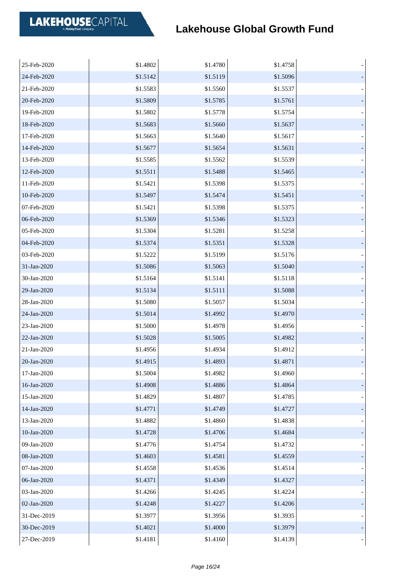| 25-Feb-2020 | \$1.4802 | \$1.4780 | \$1.4758 |  |
|-------------|----------|----------|----------|--|
| 24-Feb-2020 | \$1.5142 | \$1.5119 | \$1.5096 |  |
| 21-Feb-2020 | \$1.5583 | \$1.5560 | \$1.5537 |  |
| 20-Feb-2020 | \$1.5809 | \$1.5785 | \$1.5761 |  |
| 19-Feb-2020 | \$1.5802 | \$1.5778 | \$1.5754 |  |
| 18-Feb-2020 | \$1.5683 | \$1.5660 | \$1.5637 |  |
| 17-Feb-2020 | \$1.5663 | \$1.5640 | \$1.5617 |  |
| 14-Feb-2020 | \$1.5677 | \$1.5654 | \$1.5631 |  |
| 13-Feb-2020 | \$1.5585 | \$1.5562 | \$1.5539 |  |
| 12-Feb-2020 | \$1.5511 | \$1.5488 | \$1.5465 |  |
| 11-Feb-2020 | \$1.5421 | \$1.5398 | \$1.5375 |  |
| 10-Feb-2020 | \$1.5497 | \$1.5474 | \$1.5451 |  |
| 07-Feb-2020 | \$1.5421 | \$1.5398 | \$1.5375 |  |
| 06-Feb-2020 | \$1.5369 | \$1.5346 | \$1.5323 |  |
| 05-Feb-2020 | \$1.5304 | \$1.5281 | \$1.5258 |  |
| 04-Feb-2020 | \$1.5374 | \$1.5351 | \$1.5328 |  |
| 03-Feb-2020 | \$1.5222 | \$1.5199 | \$1.5176 |  |
| 31-Jan-2020 | \$1.5086 | \$1.5063 | \$1.5040 |  |
| 30-Jan-2020 | \$1.5164 | \$1.5141 | \$1.5118 |  |
| 29-Jan-2020 | \$1.5134 | \$1.5111 | \$1.5088 |  |
| 28-Jan-2020 | \$1.5080 | \$1.5057 | \$1.5034 |  |
| 24-Jan-2020 | \$1.5014 | \$1.4992 | \$1.4970 |  |
| 23-Jan-2020 | \$1.5000 | \$1.4978 | \$1.4956 |  |
| 22-Jan-2020 | \$1.5028 | \$1.5005 | \$1.4982 |  |
| 21-Jan-2020 | \$1.4956 | \$1.4934 | \$1.4912 |  |
| 20-Jan-2020 | \$1.4915 | \$1.4893 | \$1.4871 |  |
| 17-Jan-2020 | \$1.5004 | \$1.4982 | \$1.4960 |  |
| 16-Jan-2020 | \$1.4908 | \$1.4886 | \$1.4864 |  |
| 15-Jan-2020 | \$1.4829 | \$1.4807 | \$1.4785 |  |
| 14-Jan-2020 | \$1.4771 | \$1.4749 | \$1.4727 |  |
| 13-Jan-2020 | \$1.4882 | \$1.4860 | \$1.4838 |  |
| 10-Jan-2020 | \$1.4728 | \$1.4706 | \$1.4684 |  |
| 09-Jan-2020 | \$1.4776 | \$1.4754 | \$1.4732 |  |
| 08-Jan-2020 | \$1.4603 | \$1.4581 | \$1.4559 |  |
| 07-Jan-2020 | \$1.4558 | \$1.4536 | \$1.4514 |  |
| 06-Jan-2020 | \$1.4371 | \$1.4349 | \$1.4327 |  |
| 03-Jan-2020 | \$1.4266 | \$1.4245 | \$1.4224 |  |
| 02-Jan-2020 | \$1.4248 | \$1.4227 | \$1.4206 |  |
| 31-Dec-2019 | \$1.3977 | \$1.3956 | \$1.3935 |  |
| 30-Dec-2019 | \$1.4021 | \$1.4000 | \$1.3979 |  |
| 27-Dec-2019 | \$1.4181 | \$1.4160 | \$1.4139 |  |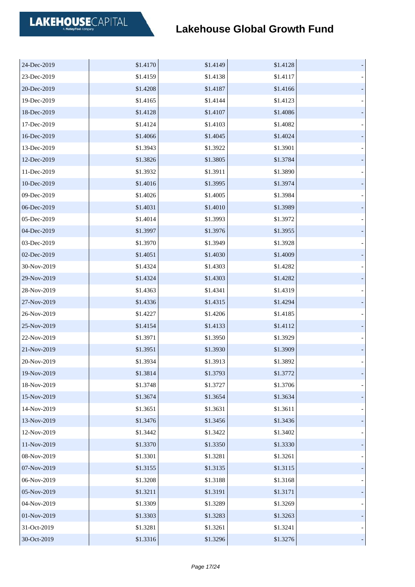| 24-Dec-2019 | \$1.4170 | \$1.4149 | \$1.4128 |  |
|-------------|----------|----------|----------|--|
| 23-Dec-2019 | \$1.4159 | \$1.4138 | \$1.4117 |  |
| 20-Dec-2019 | \$1.4208 | \$1.4187 | \$1.4166 |  |
| 19-Dec-2019 | \$1.4165 | \$1.4144 | \$1.4123 |  |
| 18-Dec-2019 | \$1.4128 | \$1.4107 | \$1.4086 |  |
| 17-Dec-2019 | \$1.4124 | \$1.4103 | \$1.4082 |  |
| 16-Dec-2019 | \$1.4066 | \$1.4045 | \$1.4024 |  |
| 13-Dec-2019 | \$1.3943 | \$1.3922 | \$1.3901 |  |
| 12-Dec-2019 | \$1.3826 | \$1.3805 | \$1.3784 |  |
| 11-Dec-2019 | \$1.3932 | \$1.3911 | \$1.3890 |  |
| 10-Dec-2019 | \$1.4016 | \$1.3995 | \$1.3974 |  |
| 09-Dec-2019 | \$1.4026 | \$1.4005 | \$1.3984 |  |
| 06-Dec-2019 | \$1.4031 | \$1.4010 | \$1.3989 |  |
| 05-Dec-2019 | \$1.4014 | \$1.3993 | \$1.3972 |  |
| 04-Dec-2019 | \$1.3997 | \$1.3976 | \$1.3955 |  |
| 03-Dec-2019 | \$1.3970 | \$1.3949 | \$1.3928 |  |
| 02-Dec-2019 | \$1.4051 | \$1.4030 | \$1.4009 |  |
| 30-Nov-2019 | \$1.4324 | \$1.4303 | \$1.4282 |  |
| 29-Nov-2019 | \$1.4324 | \$1.4303 | \$1.4282 |  |
| 28-Nov-2019 | \$1.4363 | \$1.4341 | \$1.4319 |  |
| 27-Nov-2019 | \$1.4336 | \$1.4315 | \$1.4294 |  |
| 26-Nov-2019 | \$1.4227 | \$1.4206 | \$1.4185 |  |
| 25-Nov-2019 | \$1.4154 | \$1.4133 | \$1.4112 |  |
| 22-Nov-2019 | \$1.3971 | \$1.3950 | \$1.3929 |  |
| 21-Nov-2019 | \$1.3951 | \$1.3930 | \$1.3909 |  |
| 20-Nov-2019 | \$1.3934 | \$1.3913 | \$1.3892 |  |
| 19-Nov-2019 | \$1.3814 | \$1.3793 | \$1.3772 |  |
| 18-Nov-2019 | \$1.3748 | \$1.3727 | \$1.3706 |  |
| 15-Nov-2019 | \$1.3674 | \$1.3654 | \$1.3634 |  |
| 14-Nov-2019 | \$1.3651 | \$1.3631 | \$1.3611 |  |
| 13-Nov-2019 | \$1.3476 | \$1.3456 | \$1.3436 |  |
| 12-Nov-2019 | \$1.3442 | \$1.3422 | \$1.3402 |  |
| 11-Nov-2019 | \$1.3370 | \$1.3350 | \$1.3330 |  |
| 08-Nov-2019 | \$1.3301 | \$1.3281 | \$1.3261 |  |
| 07-Nov-2019 | \$1.3155 | \$1.3135 | \$1.3115 |  |
| 06-Nov-2019 | \$1.3208 | \$1.3188 | \$1.3168 |  |
| 05-Nov-2019 | \$1.3211 | \$1.3191 | \$1.3171 |  |
| 04-Nov-2019 | \$1.3309 | \$1.3289 | \$1.3269 |  |
| 01-Nov-2019 | \$1.3303 | \$1.3283 | \$1.3263 |  |
| 31-Oct-2019 | \$1.3281 | \$1.3261 | \$1.3241 |  |
| 30-Oct-2019 | \$1.3316 | \$1.3296 | \$1.3276 |  |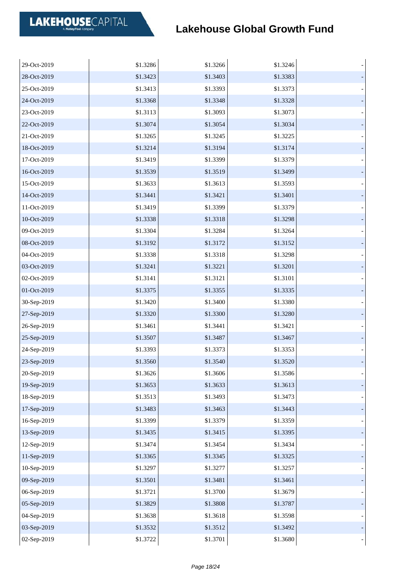| 29-Oct-2019 | \$1.3286 | \$1.3266 | \$1.3246 |  |
|-------------|----------|----------|----------|--|
| 28-Oct-2019 | \$1.3423 | \$1.3403 | \$1.3383 |  |
| 25-Oct-2019 | \$1.3413 | \$1.3393 | \$1.3373 |  |
| 24-Oct-2019 | \$1.3368 | \$1.3348 | \$1.3328 |  |
| 23-Oct-2019 | \$1.3113 | \$1.3093 | \$1.3073 |  |
| 22-Oct-2019 | \$1.3074 | \$1.3054 | \$1.3034 |  |
| 21-Oct-2019 | \$1.3265 | \$1.3245 | \$1.3225 |  |
| 18-Oct-2019 | \$1.3214 | \$1.3194 | \$1.3174 |  |
| 17-Oct-2019 | \$1.3419 | \$1.3399 | \$1.3379 |  |
| 16-Oct-2019 | \$1.3539 | \$1.3519 | \$1.3499 |  |
| 15-Oct-2019 | \$1.3633 | \$1.3613 | \$1.3593 |  |
| 14-Oct-2019 | \$1.3441 | \$1.3421 | \$1.3401 |  |
| 11-Oct-2019 | \$1.3419 | \$1.3399 | \$1.3379 |  |
| 10-Oct-2019 | \$1.3338 | \$1.3318 | \$1.3298 |  |
| 09-Oct-2019 | \$1.3304 | \$1.3284 | \$1.3264 |  |
| 08-Oct-2019 | \$1.3192 | \$1.3172 | \$1.3152 |  |
| 04-Oct-2019 | \$1.3338 | \$1.3318 | \$1.3298 |  |
| 03-Oct-2019 | \$1.3241 | \$1.3221 | \$1.3201 |  |
| 02-Oct-2019 | \$1.3141 | \$1.3121 | \$1.3101 |  |
| 01-Oct-2019 | \$1.3375 | \$1.3355 | \$1.3335 |  |
| 30-Sep-2019 | \$1.3420 | \$1.3400 | \$1.3380 |  |
| 27-Sep-2019 | \$1.3320 | \$1.3300 | \$1.3280 |  |
| 26-Sep-2019 | \$1.3461 | \$1.3441 | \$1.3421 |  |
| 25-Sep-2019 | \$1.3507 | \$1.3487 | \$1.3467 |  |
| 24-Sep-2019 | \$1.3393 | \$1.3373 | \$1.3353 |  |
| 23-Sep-2019 | \$1.3560 | \$1.3540 | \$1.3520 |  |
| 20-Sep-2019 | \$1.3626 | \$1.3606 | \$1.3586 |  |
| 19-Sep-2019 | \$1.3653 | \$1.3633 | \$1.3613 |  |
| 18-Sep-2019 | \$1.3513 | \$1.3493 | \$1.3473 |  |
| 17-Sep-2019 | \$1.3483 | \$1.3463 | \$1.3443 |  |
| 16-Sep-2019 | \$1.3399 | \$1.3379 | \$1.3359 |  |
| 13-Sep-2019 | \$1.3435 | \$1.3415 | \$1.3395 |  |
| 12-Sep-2019 | \$1.3474 | \$1.3454 | \$1.3434 |  |
| 11-Sep-2019 | \$1.3365 | \$1.3345 | \$1.3325 |  |
| 10-Sep-2019 | \$1.3297 | \$1.3277 | \$1.3257 |  |
| 09-Sep-2019 | \$1.3501 | \$1.3481 | \$1.3461 |  |
| 06-Sep-2019 | \$1.3721 | \$1.3700 | \$1.3679 |  |
| 05-Sep-2019 | \$1.3829 | \$1.3808 | \$1.3787 |  |
| 04-Sep-2019 | \$1.3638 | \$1.3618 | \$1.3598 |  |
| 03-Sep-2019 | \$1.3532 | \$1.3512 | \$1.3492 |  |
| 02-Sep-2019 | \$1.3722 | \$1.3701 | \$1.3680 |  |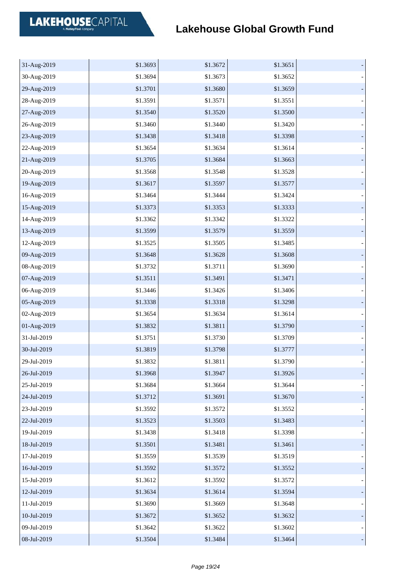| 31-Aug-2019 | \$1.3693 | \$1.3672 | \$1.3651 |  |
|-------------|----------|----------|----------|--|
| 30-Aug-2019 | \$1.3694 | \$1.3673 | \$1.3652 |  |
| 29-Aug-2019 | \$1.3701 | \$1.3680 | \$1.3659 |  |
| 28-Aug-2019 | \$1.3591 | \$1.3571 | \$1.3551 |  |
| 27-Aug-2019 | \$1.3540 | \$1.3520 | \$1.3500 |  |
| 26-Aug-2019 | \$1.3460 | \$1.3440 | \$1.3420 |  |
| 23-Aug-2019 | \$1.3438 | \$1.3418 | \$1.3398 |  |
| 22-Aug-2019 | \$1.3654 | \$1.3634 | \$1.3614 |  |
| 21-Aug-2019 | \$1.3705 | \$1.3684 | \$1.3663 |  |
| 20-Aug-2019 | \$1.3568 | \$1.3548 | \$1.3528 |  |
| 19-Aug-2019 | \$1.3617 | \$1.3597 | \$1.3577 |  |
| 16-Aug-2019 | \$1.3464 | \$1.3444 | \$1.3424 |  |
| 15-Aug-2019 | \$1.3373 | \$1.3353 | \$1.3333 |  |
| 14-Aug-2019 | \$1.3362 | \$1.3342 | \$1.3322 |  |
| 13-Aug-2019 | \$1.3599 | \$1.3579 | \$1.3559 |  |
| 12-Aug-2019 | \$1.3525 | \$1.3505 | \$1.3485 |  |
| 09-Aug-2019 | \$1.3648 | \$1.3628 | \$1.3608 |  |
| 08-Aug-2019 | \$1.3732 | \$1.3711 | \$1.3690 |  |
| 07-Aug-2019 | \$1.3511 | \$1.3491 | \$1.3471 |  |
| 06-Aug-2019 | \$1.3446 | \$1.3426 | \$1.3406 |  |
| 05-Aug-2019 | \$1.3338 | \$1.3318 | \$1.3298 |  |
| 02-Aug-2019 | \$1.3654 | \$1.3634 | \$1.3614 |  |
| 01-Aug-2019 | \$1.3832 | \$1.3811 | \$1.3790 |  |
| 31-Jul-2019 | \$1.3751 | \$1.3730 | \$1.3709 |  |
| 30-Jul-2019 | \$1.3819 | \$1.3798 | \$1.3777 |  |
| 29-Jul-2019 | \$1.3832 | \$1.3811 | \$1.3790 |  |
| 26-Jul-2019 | \$1.3968 | \$1.3947 | \$1.3926 |  |
| 25-Jul-2019 | \$1.3684 | \$1.3664 | \$1.3644 |  |
| 24-Jul-2019 | \$1.3712 | \$1.3691 | \$1.3670 |  |
| 23-Jul-2019 | \$1.3592 | \$1.3572 | \$1.3552 |  |
| 22-Jul-2019 | \$1.3523 | \$1.3503 | \$1.3483 |  |
| 19-Jul-2019 | \$1.3438 | \$1.3418 | \$1.3398 |  |
| 18-Jul-2019 | \$1.3501 | \$1.3481 | \$1.3461 |  |
| 17-Jul-2019 | \$1.3559 | \$1.3539 | \$1.3519 |  |
| 16-Jul-2019 | \$1.3592 | \$1.3572 | \$1.3552 |  |
| 15-Jul-2019 | \$1.3612 | \$1.3592 | \$1.3572 |  |
| 12-Jul-2019 | \$1.3634 | \$1.3614 | \$1.3594 |  |
| 11-Jul-2019 | \$1.3690 | \$1.3669 | \$1.3648 |  |
| 10-Jul-2019 | \$1.3672 | \$1.3652 | \$1.3632 |  |
| 09-Jul-2019 | \$1.3642 | \$1.3622 | \$1.3602 |  |
| 08-Jul-2019 | \$1.3504 | \$1.3484 | \$1.3464 |  |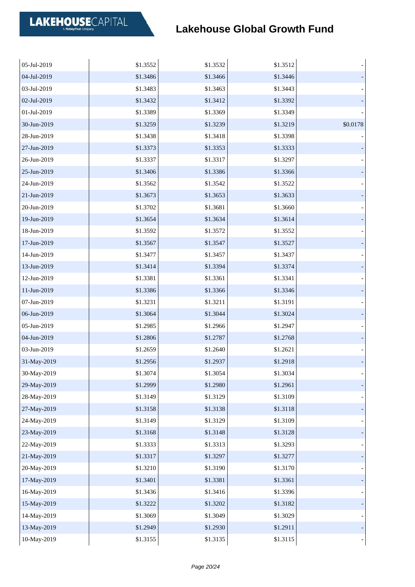| 05-Jul-2019 | \$1.3552 | \$1.3532 | \$1.3512 |          |
|-------------|----------|----------|----------|----------|
| 04-Jul-2019 | \$1.3486 | \$1.3466 | \$1.3446 |          |
| 03-Jul-2019 | \$1.3483 | \$1.3463 | \$1.3443 |          |
| 02-Jul-2019 | \$1.3432 | \$1.3412 | \$1.3392 |          |
| 01-Jul-2019 | \$1.3389 | \$1.3369 | \$1.3349 |          |
| 30-Jun-2019 | \$1.3259 | \$1.3239 | \$1.3219 | \$0.0178 |
| 28-Jun-2019 | \$1.3438 | \$1.3418 | \$1.3398 |          |
| 27-Jun-2019 | \$1.3373 | \$1.3353 | \$1.3333 |          |
| 26-Jun-2019 | \$1.3337 | \$1.3317 | \$1.3297 |          |
| 25-Jun-2019 | \$1.3406 | \$1.3386 | \$1.3366 |          |
| 24-Jun-2019 | \$1.3562 | \$1.3542 | \$1.3522 |          |
| 21-Jun-2019 | \$1.3673 | \$1.3653 | \$1.3633 |          |
| 20-Jun-2019 | \$1.3702 | \$1.3681 | \$1.3660 |          |
| 19-Jun-2019 | \$1.3654 | \$1.3634 | \$1.3614 |          |
| 18-Jun-2019 | \$1.3592 | \$1.3572 | \$1.3552 |          |
| 17-Jun-2019 | \$1.3567 | \$1.3547 | \$1.3527 |          |
| 14-Jun-2019 | \$1.3477 | \$1.3457 | \$1.3437 |          |
| 13-Jun-2019 | \$1.3414 | \$1.3394 | \$1.3374 |          |
| 12-Jun-2019 | \$1.3381 | \$1.3361 | \$1.3341 |          |
| 11-Jun-2019 | \$1.3386 | \$1.3366 | \$1.3346 |          |
| 07-Jun-2019 | \$1.3231 | \$1.3211 | \$1.3191 |          |
| 06-Jun-2019 | \$1.3064 | \$1.3044 | \$1.3024 |          |
| 05-Jun-2019 | \$1.2985 | \$1.2966 | \$1.2947 |          |
| 04-Jun-2019 | \$1.2806 | \$1.2787 | \$1.2768 |          |
| 03-Jun-2019 | \$1.2659 | \$1.2640 | \$1.2621 |          |
| 31-May-2019 | \$1.2956 | \$1.2937 | \$1.2918 |          |
| 30-May-2019 | \$1.3074 | \$1.3054 | \$1.3034 |          |
| 29-May-2019 | \$1.2999 | \$1.2980 | \$1.2961 |          |
| 28-May-2019 | \$1.3149 | \$1.3129 | \$1.3109 |          |
| 27-May-2019 | \$1.3158 | \$1.3138 | \$1.3118 |          |
| 24-May-2019 | \$1.3149 | \$1.3129 | \$1.3109 |          |
| 23-May-2019 | \$1.3168 | \$1.3148 | \$1.3128 |          |
| 22-May-2019 | \$1.3333 | \$1.3313 | \$1.3293 |          |
| 21-May-2019 | \$1.3317 | \$1.3297 | \$1.3277 |          |
| 20-May-2019 | \$1.3210 | \$1.3190 | \$1.3170 |          |
| 17-May-2019 | \$1.3401 | \$1.3381 | \$1.3361 |          |
| 16-May-2019 | \$1.3436 | \$1.3416 | \$1.3396 |          |
| 15-May-2019 | \$1.3222 | \$1.3202 | \$1.3182 |          |
| 14-May-2019 | \$1.3069 | \$1.3049 | \$1.3029 |          |
| 13-May-2019 | \$1.2949 | \$1.2930 | \$1.2911 |          |
| 10-May-2019 | \$1.3155 | \$1.3135 | \$1.3115 |          |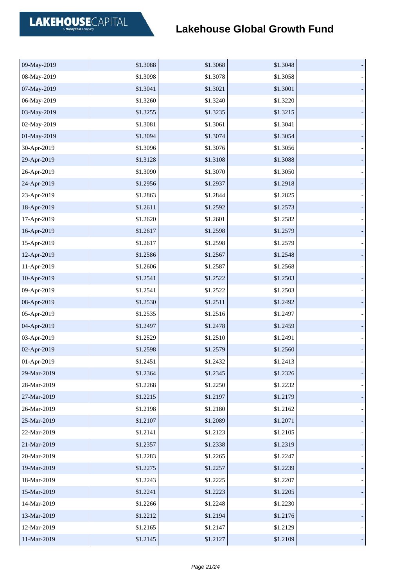| 09-May-2019 | \$1.3088 | \$1.3068 | \$1.3048 |  |
|-------------|----------|----------|----------|--|
| 08-May-2019 | \$1.3098 | \$1.3078 | \$1.3058 |  |
| 07-May-2019 | \$1.3041 | \$1.3021 | \$1.3001 |  |
| 06-May-2019 | \$1.3260 | \$1.3240 | \$1.3220 |  |
| 03-May-2019 | \$1.3255 | \$1.3235 | \$1.3215 |  |
| 02-May-2019 | \$1.3081 | \$1.3061 | \$1.3041 |  |
| 01-May-2019 | \$1.3094 | \$1.3074 | \$1.3054 |  |
| 30-Apr-2019 | \$1.3096 | \$1.3076 | \$1.3056 |  |
| 29-Apr-2019 | \$1.3128 | \$1.3108 | \$1.3088 |  |
| 26-Apr-2019 | \$1.3090 | \$1.3070 | \$1.3050 |  |
| 24-Apr-2019 | \$1.2956 | \$1.2937 | \$1.2918 |  |
| 23-Apr-2019 | \$1.2863 | \$1.2844 | \$1.2825 |  |
| 18-Apr-2019 | \$1.2611 | \$1.2592 | \$1.2573 |  |
| 17-Apr-2019 | \$1.2620 | \$1.2601 | \$1.2582 |  |
| 16-Apr-2019 | \$1.2617 | \$1.2598 | \$1.2579 |  |
| 15-Apr-2019 | \$1.2617 | \$1.2598 | \$1.2579 |  |
| 12-Apr-2019 | \$1.2586 | \$1.2567 | \$1.2548 |  |
| 11-Apr-2019 | \$1.2606 | \$1.2587 | \$1.2568 |  |
| 10-Apr-2019 | \$1.2541 | \$1.2522 | \$1.2503 |  |
| 09-Apr-2019 | \$1.2541 | \$1.2522 | \$1.2503 |  |
| 08-Apr-2019 | \$1.2530 | \$1.2511 | \$1.2492 |  |
| 05-Apr-2019 | \$1.2535 | \$1.2516 | \$1.2497 |  |
| 04-Apr-2019 | \$1.2497 | \$1.2478 | \$1.2459 |  |
| 03-Apr-2019 | \$1.2529 | \$1.2510 | \$1.2491 |  |
| 02-Apr-2019 | \$1.2598 | \$1.2579 | \$1.2560 |  |
| 01-Apr-2019 | \$1.2451 | \$1.2432 | \$1.2413 |  |
| 29-Mar-2019 | \$1.2364 | \$1.2345 | \$1.2326 |  |
| 28-Mar-2019 | \$1.2268 | \$1.2250 | \$1.2232 |  |
| 27-Mar-2019 | \$1.2215 | \$1.2197 | \$1.2179 |  |
| 26-Mar-2019 | \$1.2198 | \$1.2180 | \$1.2162 |  |
| 25-Mar-2019 | \$1.2107 | \$1.2089 | \$1.2071 |  |
| 22-Mar-2019 | \$1.2141 | \$1.2123 | \$1.2105 |  |
| 21-Mar-2019 | \$1.2357 | \$1.2338 | \$1.2319 |  |
| 20-Mar-2019 | \$1.2283 | \$1.2265 | \$1.2247 |  |
| 19-Mar-2019 | \$1.2275 | \$1.2257 | \$1.2239 |  |
| 18-Mar-2019 | \$1.2243 | \$1.2225 | \$1.2207 |  |
| 15-Mar-2019 | \$1.2241 | \$1.2223 | \$1.2205 |  |
| 14-Mar-2019 | \$1.2266 | \$1.2248 | \$1.2230 |  |
| 13-Mar-2019 | \$1.2212 | \$1.2194 | \$1.2176 |  |
| 12-Mar-2019 | \$1.2165 | \$1.2147 | \$1.2129 |  |
| 11-Mar-2019 | \$1.2145 | \$1.2127 | \$1.2109 |  |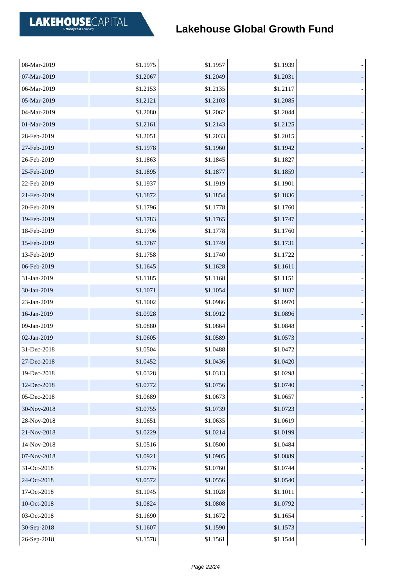| 08-Mar-2019 | \$1.1975 | \$1.1957 | \$1.1939 |  |
|-------------|----------|----------|----------|--|
| 07-Mar-2019 | \$1.2067 | \$1.2049 | \$1.2031 |  |
| 06-Mar-2019 | \$1.2153 | \$1.2135 | \$1.2117 |  |
| 05-Mar-2019 | \$1.2121 | \$1.2103 | \$1.2085 |  |
| 04-Mar-2019 | \$1.2080 | \$1.2062 | \$1.2044 |  |
| 01-Mar-2019 | \$1.2161 | \$1.2143 | \$1.2125 |  |
| 28-Feb-2019 | \$1.2051 | \$1.2033 | \$1.2015 |  |
| 27-Feb-2019 | \$1.1978 | \$1.1960 | \$1.1942 |  |
| 26-Feb-2019 | \$1.1863 | \$1.1845 | \$1.1827 |  |
| 25-Feb-2019 | \$1.1895 | \$1.1877 | \$1.1859 |  |
| 22-Feb-2019 | \$1.1937 | \$1.1919 | \$1.1901 |  |
| 21-Feb-2019 | \$1.1872 | \$1.1854 | \$1.1836 |  |
| 20-Feb-2019 | \$1.1796 | \$1.1778 | \$1.1760 |  |
| 19-Feb-2019 | \$1.1783 | \$1.1765 | \$1.1747 |  |
| 18-Feb-2019 | \$1.1796 | \$1.1778 | \$1.1760 |  |
| 15-Feb-2019 | \$1.1767 | \$1.1749 | \$1.1731 |  |
| 13-Feb-2019 | \$1.1758 | \$1.1740 | \$1.1722 |  |
| 06-Feb-2019 | \$1.1645 | \$1.1628 | \$1.1611 |  |
| 31-Jan-2019 | \$1.1185 | \$1.1168 | \$1.1151 |  |
| 30-Jan-2019 | \$1.1071 | \$1.1054 | \$1.1037 |  |
| 23-Jan-2019 | \$1.1002 | \$1.0986 | \$1.0970 |  |
| 16-Jan-2019 | \$1.0928 | \$1.0912 | \$1.0896 |  |
| 09-Jan-2019 | \$1.0880 | \$1.0864 | \$1.0848 |  |
| 02-Jan-2019 | \$1.0605 | \$1.0589 | \$1.0573 |  |
| 31-Dec-2018 | \$1.0504 | \$1.0488 | \$1.0472 |  |
| 27-Dec-2018 | \$1.0452 | \$1.0436 | \$1.0420 |  |
| 19-Dec-2018 | \$1.0328 | \$1.0313 | \$1.0298 |  |
| 12-Dec-2018 | \$1.0772 | \$1.0756 | \$1.0740 |  |
| 05-Dec-2018 | \$1.0689 | \$1.0673 | \$1.0657 |  |
| 30-Nov-2018 | \$1.0755 | \$1.0739 | \$1.0723 |  |
| 28-Nov-2018 | \$1.0651 | \$1.0635 | \$1.0619 |  |
| 21-Nov-2018 | \$1.0229 | \$1.0214 | \$1.0199 |  |
| 14-Nov-2018 | \$1.0516 | \$1.0500 | \$1.0484 |  |
| 07-Nov-2018 | \$1.0921 | \$1.0905 | \$1.0889 |  |
| 31-Oct-2018 | \$1.0776 | \$1.0760 | \$1.0744 |  |
| 24-Oct-2018 | \$1.0572 | \$1.0556 | \$1.0540 |  |
| 17-Oct-2018 | \$1.1045 | \$1.1028 | \$1.1011 |  |
| 10-Oct-2018 | \$1.0824 | \$1.0808 | \$1.0792 |  |
| 03-Oct-2018 | \$1.1690 | \$1.1672 | \$1.1654 |  |
| 30-Sep-2018 | \$1.1607 | \$1.1590 | \$1.1573 |  |
| 26-Sep-2018 | \$1.1578 | \$1.1561 | \$1.1544 |  |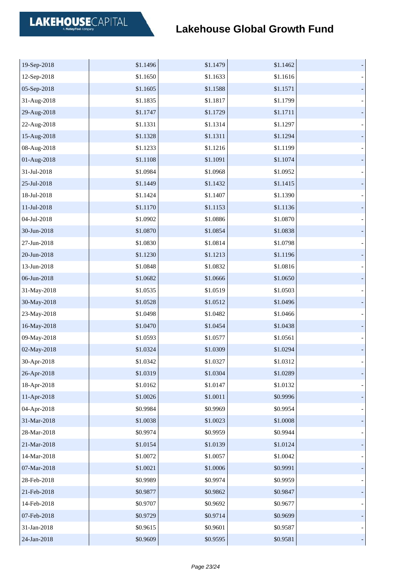| 19-Sep-2018 | \$1.1496 | \$1.1479 | \$1.1462 |  |
|-------------|----------|----------|----------|--|
| 12-Sep-2018 | \$1.1650 | \$1.1633 | \$1.1616 |  |
| 05-Sep-2018 | \$1.1605 | \$1.1588 | \$1.1571 |  |
| 31-Aug-2018 | \$1.1835 | \$1.1817 | \$1.1799 |  |
| 29-Aug-2018 | \$1.1747 | \$1.1729 | \$1.1711 |  |
| 22-Aug-2018 | \$1.1331 | \$1.1314 | \$1.1297 |  |
| 15-Aug-2018 | \$1.1328 | \$1.1311 | \$1.1294 |  |
| 08-Aug-2018 | \$1.1233 | \$1.1216 | \$1.1199 |  |
| 01-Aug-2018 | \$1.1108 | \$1.1091 | \$1.1074 |  |
| 31-Jul-2018 | \$1.0984 | \$1.0968 | \$1.0952 |  |
| 25-Jul-2018 | \$1.1449 | \$1.1432 | \$1.1415 |  |
| 18-Jul-2018 | \$1.1424 | \$1.1407 | \$1.1390 |  |
| 11-Jul-2018 | \$1.1170 | \$1.1153 | \$1.1136 |  |
| 04-Jul-2018 | \$1.0902 | \$1.0886 | \$1.0870 |  |
| 30-Jun-2018 | \$1.0870 | \$1.0854 | \$1.0838 |  |
| 27-Jun-2018 | \$1.0830 | \$1.0814 | \$1.0798 |  |
| 20-Jun-2018 | \$1.1230 | \$1.1213 | \$1.1196 |  |
| 13-Jun-2018 | \$1.0848 | \$1.0832 | \$1.0816 |  |
| 06-Jun-2018 | \$1.0682 | \$1.0666 | \$1.0650 |  |
| 31-May-2018 | \$1.0535 | \$1.0519 | \$1.0503 |  |
| 30-May-2018 | \$1.0528 | \$1.0512 | \$1.0496 |  |
| 23-May-2018 | \$1.0498 | \$1.0482 | \$1.0466 |  |
| 16-May-2018 | \$1.0470 | \$1.0454 | \$1.0438 |  |
| 09-May-2018 | \$1.0593 | \$1.0577 | \$1.0561 |  |
| 02-May-2018 | \$1.0324 | \$1.0309 | \$1.0294 |  |
| 30-Apr-2018 | \$1.0342 | \$1.0327 | \$1.0312 |  |
| 26-Apr-2018 | \$1.0319 | \$1.0304 | \$1.0289 |  |
| 18-Apr-2018 | \$1.0162 | \$1.0147 | \$1.0132 |  |
| 11-Apr-2018 | \$1.0026 | \$1.0011 | \$0.9996 |  |
| 04-Apr-2018 | \$0.9984 | \$0.9969 | \$0.9954 |  |
| 31-Mar-2018 | \$1.0038 | \$1.0023 | \$1.0008 |  |
| 28-Mar-2018 | \$0.9974 | \$0.9959 | \$0.9944 |  |
| 21-Mar-2018 | \$1.0154 | \$1.0139 | \$1.0124 |  |
| 14-Mar-2018 | \$1.0072 | \$1.0057 | \$1.0042 |  |
| 07-Mar-2018 | \$1.0021 | \$1.0006 | \$0.9991 |  |
| 28-Feb-2018 | \$0.9989 | \$0.9974 | \$0.9959 |  |
| 21-Feb-2018 | \$0.9877 | \$0.9862 | \$0.9847 |  |
| 14-Feb-2018 | \$0.9707 | \$0.9692 | \$0.9677 |  |
| 07-Feb-2018 | \$0.9729 | \$0.9714 | \$0.9699 |  |
| 31-Jan-2018 | \$0.9615 | \$0.9601 | \$0.9587 |  |
| 24-Jan-2018 | \$0.9609 | \$0.9595 | \$0.9581 |  |